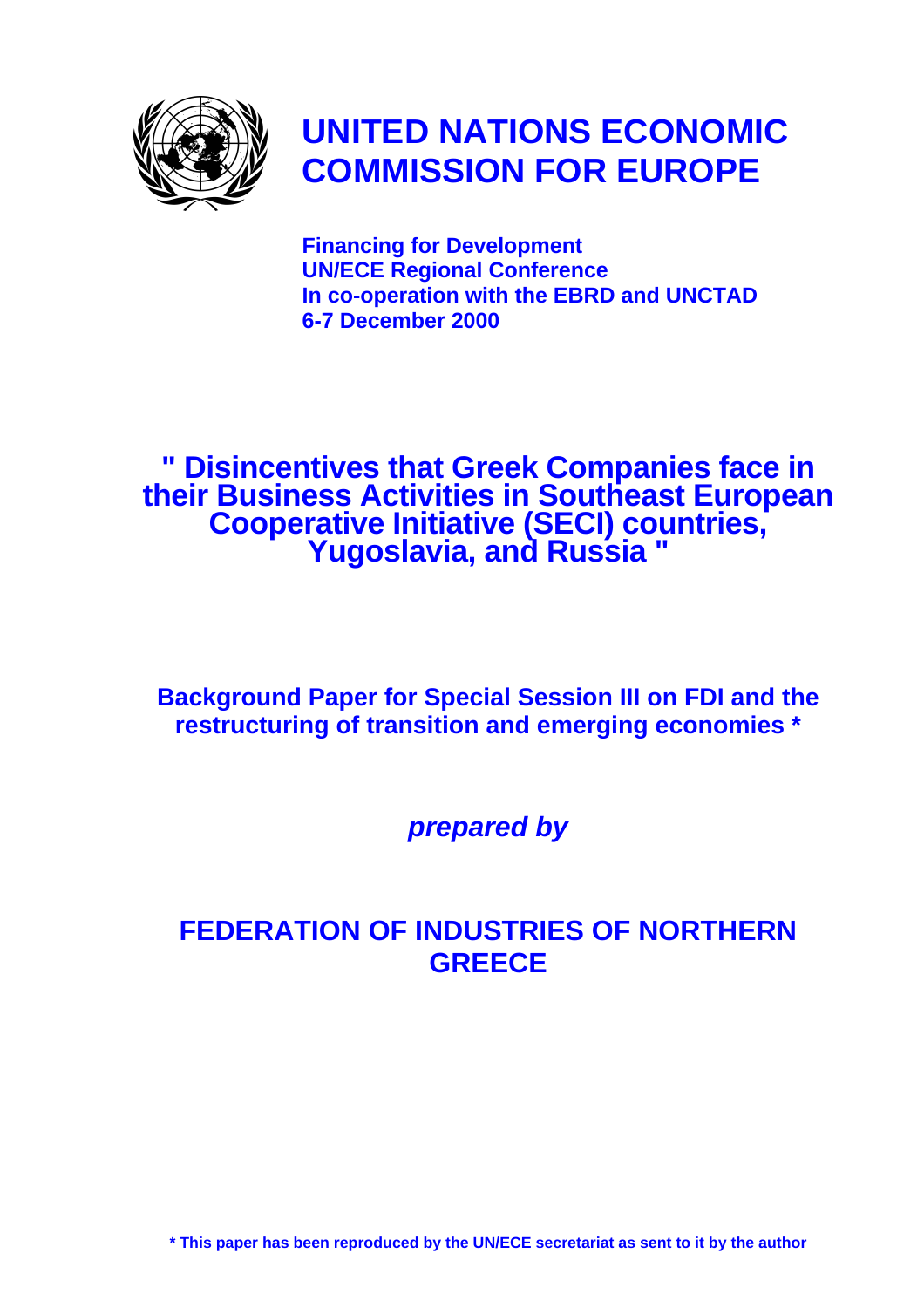

# **UNITED NATIONS ECONOMIC COMMISSION FOR EUROPE**

**Financing for Development UN/ECE Regional Conference In co-operation with the EBRD and UNCTAD 6-7 December 2000**

**" Disincentives that Greek Companies face in their Business Activities in Southeast European Cooperative Initiative (SECI) countries, Yugoslavia, and Russia "**

**Background Paper for Special Session III on FDI and the restructuring of transition and emerging economies \***

*prepared by*

# **FEDERATION OF INDUSTRIES OF NORTHERN GREECE**

**\* This paper has been reproduced by the UN/ECE secretariat as sent to it by the author**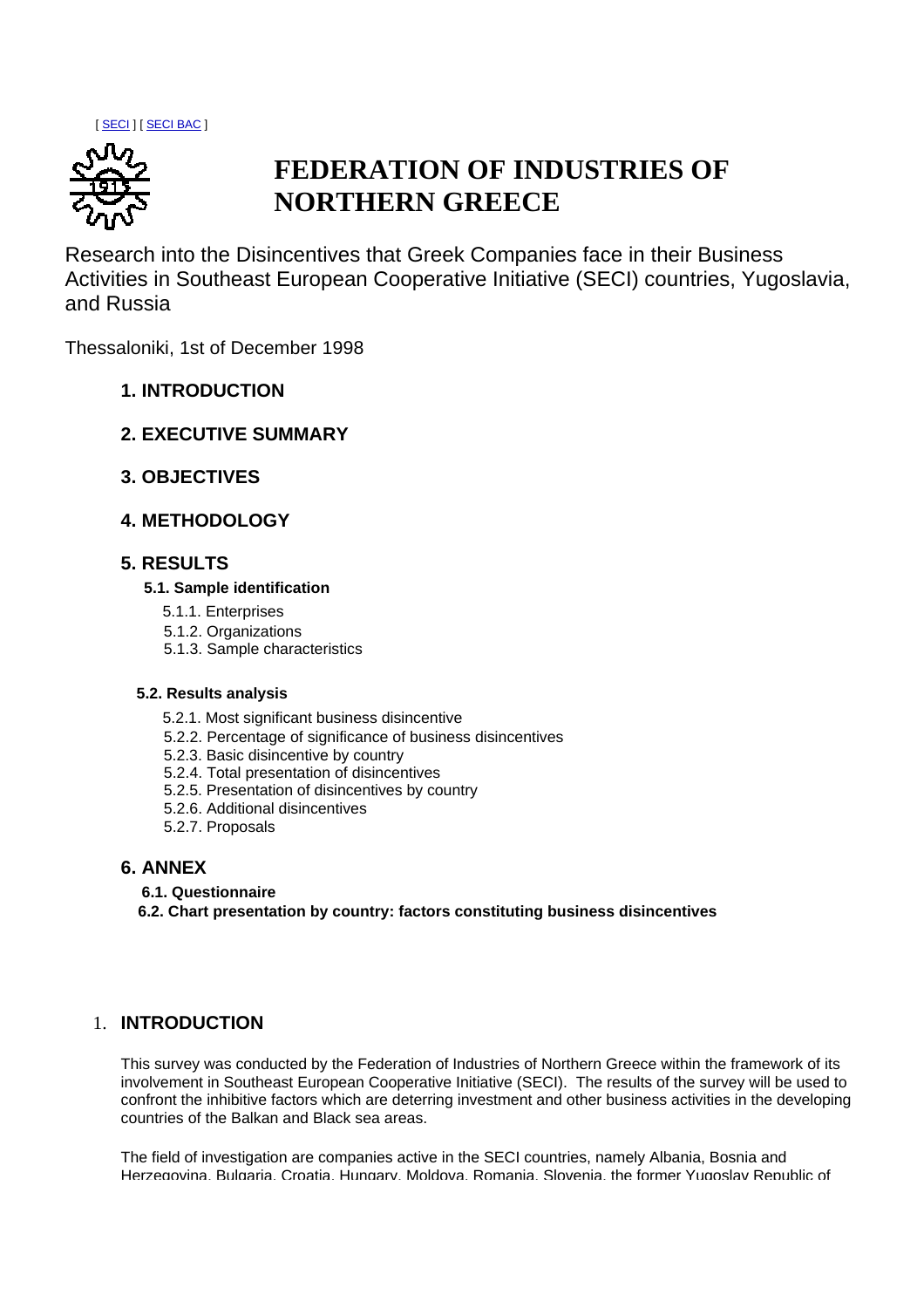[ SECI ] [ SECI BAC ]



# **FEDERATION OF INDUSTRIES OF NORTHERN GREECE**

Research into the Disincentives that Greek Companies face in their Business Activities in Southeast European Cooperative Initiative (SECI) countries, Yugoslavia, and Russia

Thessaloniki, 1st of December 1998

- **1. INTRODUCTION**
- **2. EXECUTIVE SUMMARY**
- **3. OBJECTIVES**
- **4. METHODOLOGY**

# **5. RESULTS**

### **5.1. Sample identification**

- 5.1.1. Enterprises
- 5.1.2. Organizations
- 5.1.3. Sample characteristics

### **5.2. Results analysis**

- 5.2.1. Most significant business disincentive
- 5.2.2. Percentage of significance of business disincentives
- 5.2.3. Basic disincentive by country
- 5.2.4. Total presentation of disincentives
- 5.2.5. Presentation of disincentives by country
- 5.2.6. Additional disincentives
- 5.2.7. Proposals

# **6. ANNEX**

- **6.1. Questionnaire**
- **6.2. Chart presentation by country: factors constituting business disincentives**

# 1. **INTRODUCTION**

This survey was conducted by the Federation of Industries of Northern Greece within the framework of its involvement in Southeast European Cooperative Initiative (SECI). The results of the survey will be used to confront the inhibitive factors which are deterring investment and other business activities in the developing countries of the Balkan and Black sea areas.

The field of investigation are companies active in the SECI countries, namely Albania, Bosnia and Herzegovina, Bulgaria, Croatia, Hungary, Moldova, Romania, Slovenia, the former Yugoslav Republic of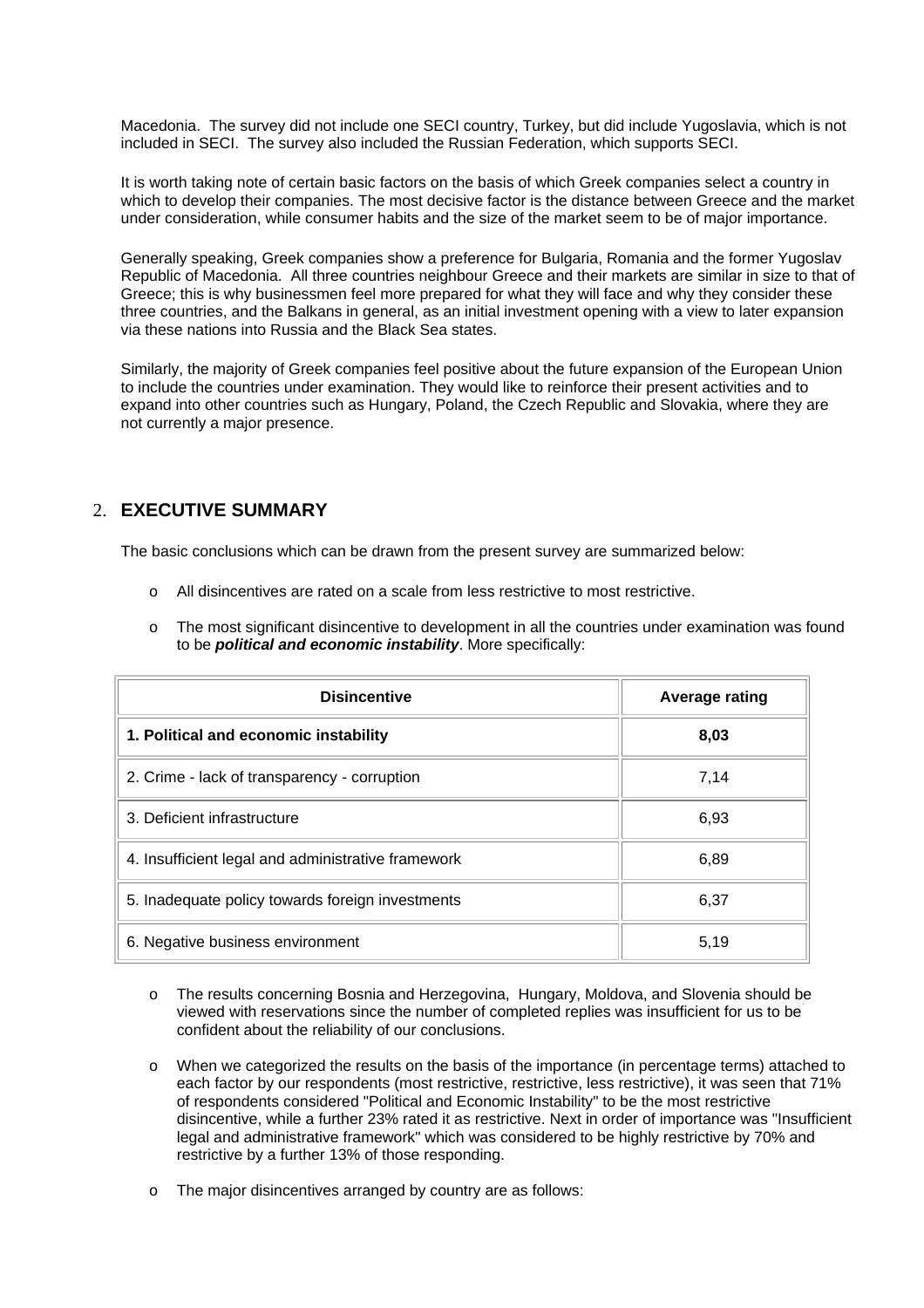Macedonia. The survey did not include one SECI country, Turkey, but did include Yugoslavia, which is not included in SECI. The survey also included the Russian Federation, which supports SECI.

It is worth taking note of certain basic factors on the basis of which Greek companies select a country in which to develop their companies. The most decisive factor is the distance between Greece and the market under consideration, while consumer habits and the size of the market seem to be of major importance.

Generally speaking, Greek companies show a preference for Bulgaria, Romania and the former Yugoslav Republic of Macedonia. All three countries neighbour Greece and their markets are similar in size to that of Greece; this is why businessmen feel more prepared for what they will face and why they consider these three countries, and the Balkans in general, as an initial investment opening with a view to later expansion via these nations into Russia and the Black Sea states.

Similarly, the majority of Greek companies feel positive about the future expansion of the European Union to include the countries under examination. They would like to reinforce their present activities and to expand into other countries such as Hungary, Poland, the Czech Republic and Slovakia, where they are not currently a major presence.

# 2. **EXECUTIVE SUMMARY**

The basic conclusions which can be drawn from the present survey are summarized below:

- o All disincentives are rated on a scale from less restrictive to most restrictive.
- o The most significant disincentive to development in all the countries under examination was found to be *political and economic instability*. More specifically:

| <b>Disincentive</b>                                | <b>Average rating</b> |  |
|----------------------------------------------------|-----------------------|--|
| 1. Political and economic instability              | 8,03                  |  |
| 2. Crime - lack of transparency - corruption       | 7,14                  |  |
| 3. Deficient infrastructure                        | 6,93                  |  |
| 4. Insufficient legal and administrative framework | 6,89                  |  |
| 5. Inadequate policy towards foreign investments   | 6,37                  |  |
| 6. Negative business environment                   | 5,19                  |  |

- o The results concerning Bosnia and Herzegovina, Hungary, Moldova, and Slovenia should be viewed with reservations since the number of completed replies was insufficient for us to be confident about the reliability of our conclusions.
- o When we categorized the results on the basis of the importance (in percentage terms) attached to each factor by our respondents (most restrictive, restrictive, less restrictive), it was seen that 71% of respondents considered "Political and Economic Instability" to be the most restrictive disincentive, while a further 23% rated it as restrictive. Next in order of importance was "Insufficient legal and administrative framework" which was considered to be highly restrictive by 70% and restrictive by a further 13% of those responding.
- o The major disincentives arranged by country are as follows: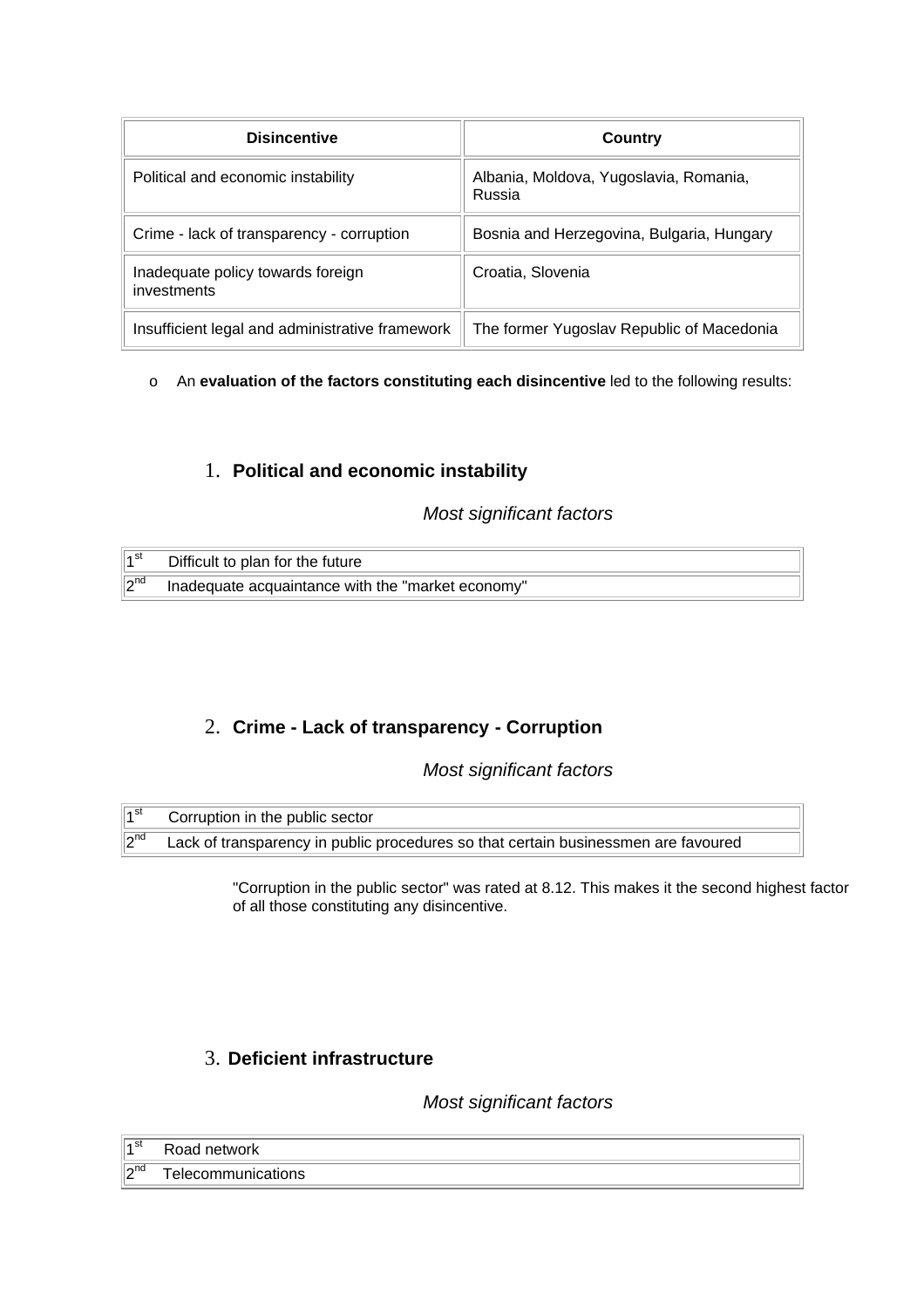| <b>Disincentive</b>                              | Country                                          |
|--------------------------------------------------|--------------------------------------------------|
| Political and economic instability               | Albania, Moldova, Yugoslavia, Romania,<br>Russia |
| Crime - lack of transparency - corruption        | Bosnia and Herzegovina, Bulgaria, Hungary        |
| Inadequate policy towards foreign<br>investments | Croatia, Slovenia                                |
| Insufficient legal and administrative framework  | The former Yugoslav Republic of Macedonia        |

# o An **evaluation of the factors constituting each disincentive** led to the following results:

# 1. **Political and economic instability**

# *Most significant factors*

| ∣⊿ st      | Difficult to plan for the future                  |
|------------|---------------------------------------------------|
| $\ 2^{nd}$ | Inadequate acquaintance with the "market economy" |

# 2. **Crime - Lack of transparency - Corruption**

# *Most significant factors*

| ∣ <sub>4</sub> st | Corruption in the public sector                                                    |  |
|-------------------|------------------------------------------------------------------------------------|--|
| $\sqrt{2^{nd}}$   | Lack of transparency in public procedures so that certain businessmen are favoured |  |

"Corruption in the public sector" was rated at 8.12. This makes it the second highest factor of all those constituting any disincentive.

# 3. **Deficient infrastructure**

# *Most significant factors*

| ∄⊿st               | Road network       |
|--------------------|--------------------|
| ∥ <b>∩</b> nd<br>▪ | Telecommunications |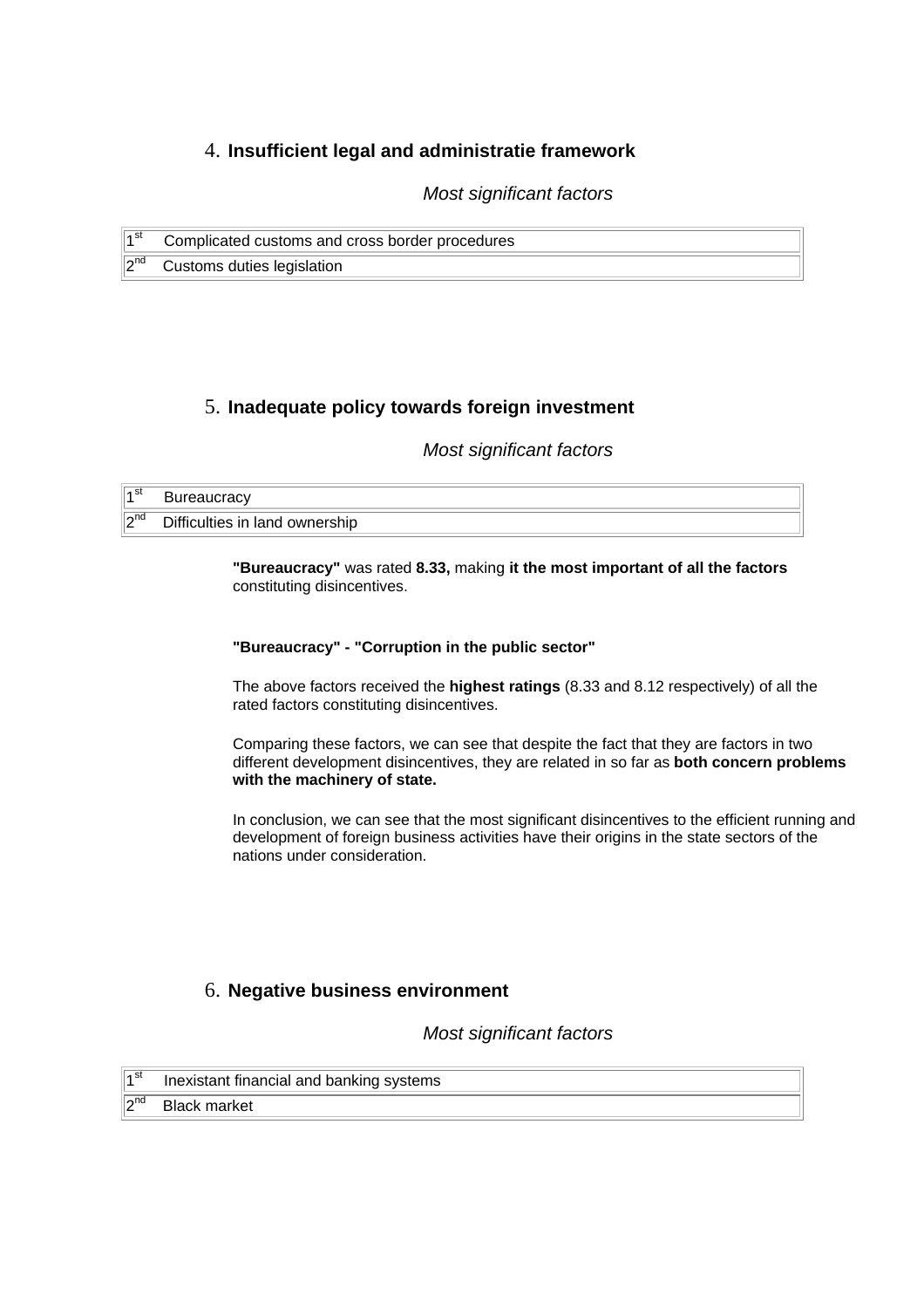# 4. **Insufficient legal and administratie framework**

*Most significant factors*

| ∣⊿st       | Complicated customs and cross border procedures |
|------------|-------------------------------------------------|
| $\ 2^{nd}$ | Customs duties legislation                      |

# 5. **Inadequate policy towards foreign investment**

# *Most significant factors*

| ∣⊿st                | <b>Bureaucracy</b>                               |  |
|---------------------|--------------------------------------------------|--|
| ∥ <b>ี</b> ∩nd<br>▵ | n:ff<br>ownership<br>-in<br>land<br>Difficulties |  |

**"Bureaucracy"** was rated **8.33,** making **it the most important of all the factors** constituting disincentives.

#### **"Bureaucracy" - "Corruption in the public sector"**

The above factors received the **highest ratings** (8.33 and 8.12 respectively) of all the rated factors constituting disincentives.

Comparing these factors, we can see that despite the fact that they are factors in two different development disincentives, they are related in so far as **both concern problems with the machinery of state.**

In conclusion, we can see that the most significant disincentives to the efficient running and development of foreign business activities have their origins in the state sectors of the nations under consideration.

# 6. **Negative business environment**

*Most significant factors*

| $\sqrt{1^{\rm st}}$ | Inexistant financial and banking systems |
|---------------------|------------------------------------------|
|                     | $2nd$ Black market                       |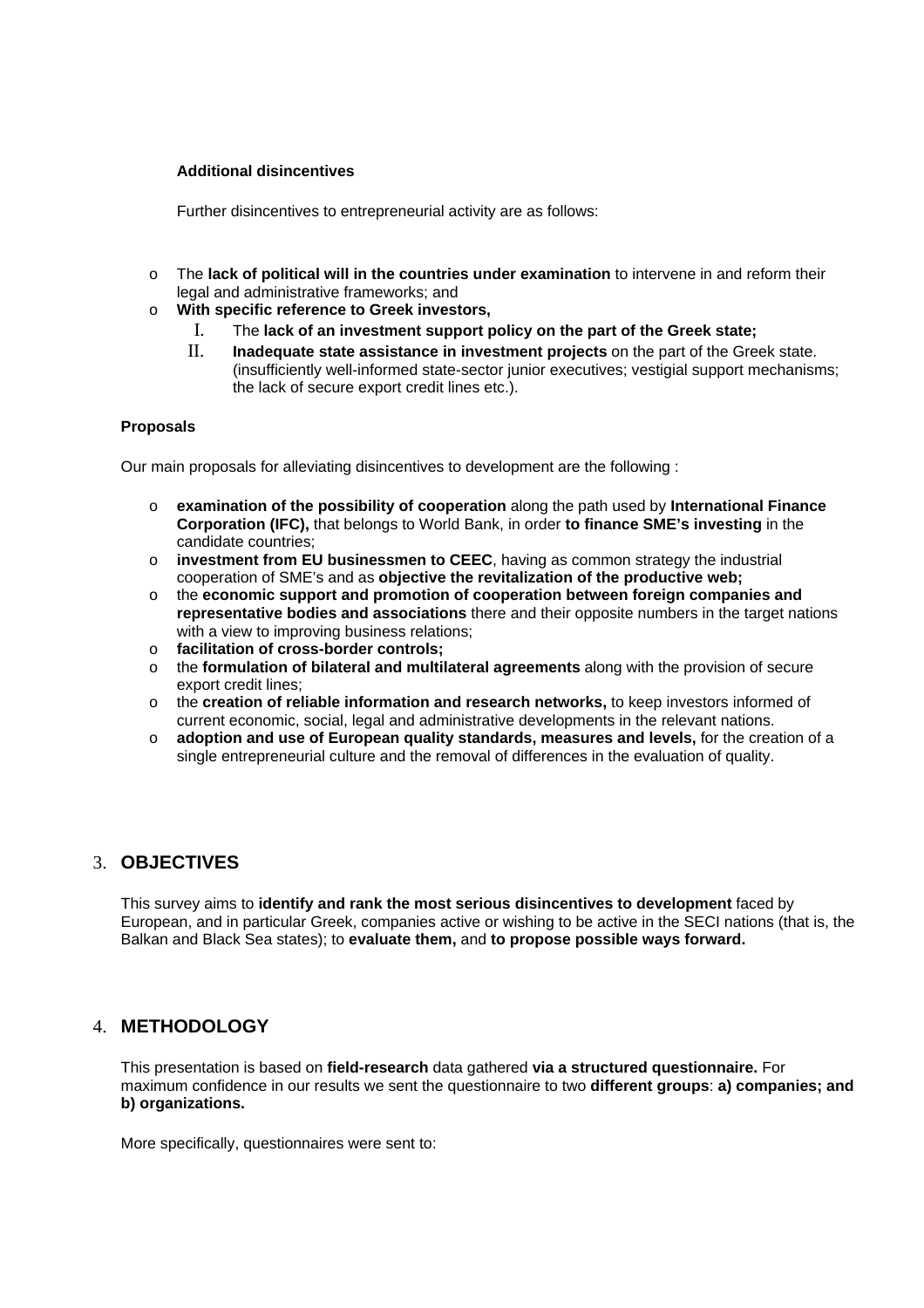#### **Additional disincentives**

Further disincentives to entrepreneurial activity are as follows:

- o The **lack of political will in the countries under examination** to intervene in and reform their legal and administrative frameworks; and
- o **With specific reference to Greek investors,**
	- I. The **lack of an investment support policy on the part of the Greek state;**
	- II. **Inadequate state assistance in investment projects** on the part of the Greek state. (insufficiently well-informed state-sector junior executives; vestigial support mechanisms; the lack of secure export credit lines etc.).

### **Proposals**

Our main proposals for alleviating disincentives to development are the following :

- o **examination of the possibility of cooperation** along the path used by **International Finance Corporation (IFC),** that belongs to World Bank, in order **to finance SME's investing** in the candidate countries;
- o **investment from EU businessmen to CEEC**, having as common strategy the industrial cooperation of SME's and as **objective the revitalization of the productive web;**
- o the **economic support and promotion of cooperation between foreign companies and representative bodies and associations** there and their opposite numbers in the target nations with a view to improving business relations;
- o **facilitation of cross-border controls;**
- o the **formulation of bilateral and multilateral agreements** along with the provision of secure export credit lines;
- o the **creation of reliable information and research networks,** to keep investors informed of current economic, social, legal and administrative developments in the relevant nations.
- o **adoption and use of European quality standards, measures and levels,** for the creation of a single entrepreneurial culture and the removal of differences in the evaluation of quality.

# 3. **OBJECTIVES**

This survey aims to **identify and rank the most serious disincentives to development** faced by European, and in particular Greek, companies active or wishing to be active in the SECI nations (that is, the Balkan and Black Sea states); to **evaluate them,** and **to propose possible ways forward.**

# 4. **METHODOLOGY**

This presentation is based on **field-research** data gathered **via a structured questionnaire.** For maximum confidence in our results we sent the questionnaire to two **different groups**: **a) companies; and b) organizations.**

More specifically, questionnaires were sent to: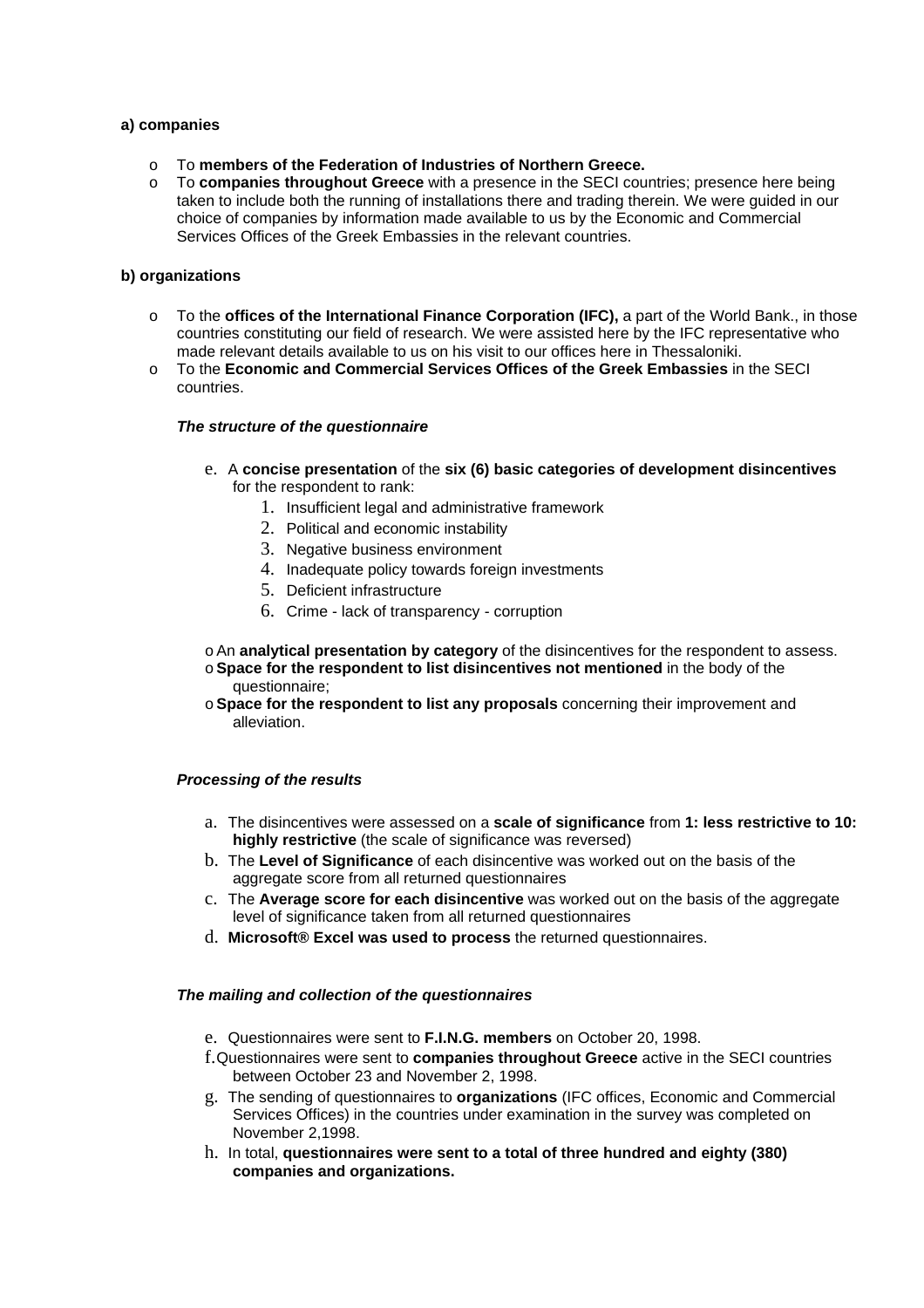#### **a) companies**

- o To **members of the Federation of Industries of Northern Greece.**
- o To **companies throughout Greece** with a presence in the SECI countries; presence here being taken to include both the running of installations there and trading therein. We were guided in our choice of companies by information made available to us by the Economic and Commercial Services Offices of the Greek Embassies in the relevant countries.

#### **b) organizations**

- o To the **offices of the International Finance Corporation (IFC),** a part of the World Bank., in those countries constituting our field of research. We were assisted here by the IFC representative who made relevant details available to us on his visit to our offices here in Thessaloniki.
- o To the **Economic and Commercial Services Offices of the Greek Embassies** in the SECI countries.

#### *The structure of the questionnaire*

- e. A **concise presentation** of the **six (6) basic categories of development disincentives** for the respondent to rank:
	- 1. Insufficient legal and administrative framework
	- 2. Political and economic instability
	- 3. Negative business environment
	- 4. Inadequate policy towards foreign investments
	- 5. Deficient infrastructure
	- 6. Crime lack of transparency corruption

## oAn **analytical presentation by category** of the disincentives for the respondent to assess.

- o**Space for the respondent to list disincentives not mentioned** in the body of the questionnaire;
- o**Space for the respondent to list any proposals** concerning their improvement and alleviation.

#### *Processing of the results*

- a. The disincentives were assessed on a **scale of significance** from **1: less restrictive to 10: highly restrictive** (the scale of significance was reversed)
- b. The **Level of Significance** of each disincentive was worked out on the basis of the aggregate score from all returned questionnaires
- c. The **Average score for each disincentive** was worked out on the basis of the aggregate level of significance taken from all returned questionnaires
- d. **Microsoft® Excel was used to process** the returned questionnaires.

#### *The mailing and collection of the questionnaires*

- e. Questionnaires were sent to **F.I.N.G. members** on October 20, 1998.
- f.Questionnaires were sent to **companies throughout Greece** active in the SECI countries between October 23 and November 2, 1998.
- g. The sending of questionnaires to **organizations** (IFC offices, Economic and Commercial Services Offices) in the countries under examination in the survey was completed on November 2,1998.
- h. In total, **questionnaires were sent to a total of three hundred and eighty (380) companies and organizations.**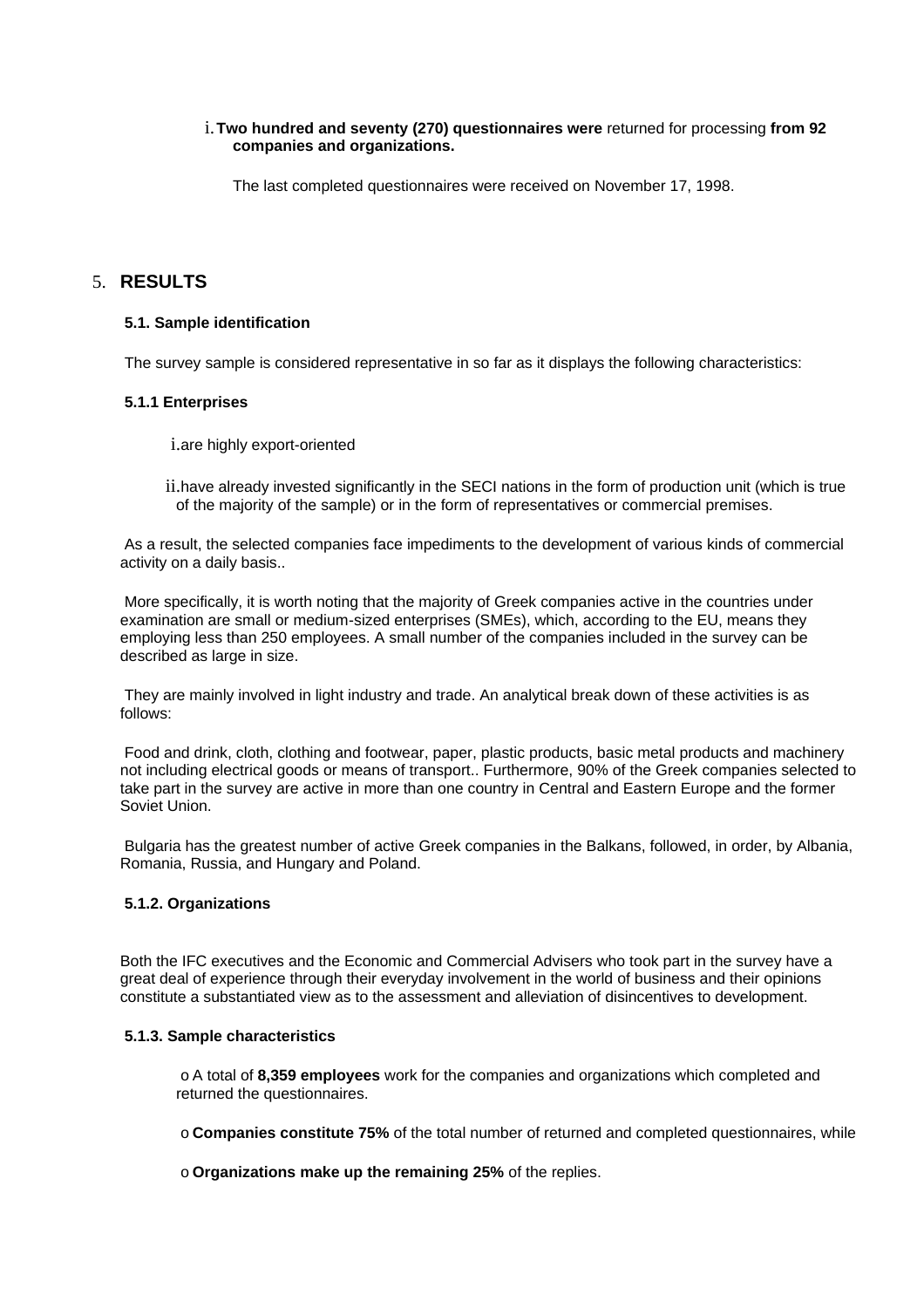#### i.**Two hundred and seventy (270) questionnaires were** returned for processing **from 92 companies and organizations.**

The last completed questionnaires were received on November 17, 1998.

# 5. **RESULTS**

#### **5.1. Sample identification**

The survey sample is considered representative in so far as it displays the following characteristics:

#### **5.1.1 Enterprises**

i.are highly export-oriented

ii.have already invested significantly in the SECI nations in the form of production unit (which is true of the majority of the sample) or in the form of representatives or commercial premises.

As a result, the selected companies face impediments to the development of various kinds of commercial activity on a daily basis..

More specifically, it is worth noting that the majority of Greek companies active in the countries under examination are small or medium-sized enterprises (SMEs), which, according to the EU, means they employing less than 250 employees. A small number of the companies included in the survey can be described as large in size.

They are mainly involved in light industry and trade. An analytical break down of these activities is as follows:

Food and drink, cloth, clothing and footwear, paper, plastic products, basic metal products and machinery not including electrical goods or means of transport.. Furthermore, 90% of the Greek companies selected to take part in the survey are active in more than one country in Central and Eastern Europe and the former Soviet Union.

Bulgaria has the greatest number of active Greek companies in the Balkans, followed, in order, by Albania, Romania, Russia, and Hungary and Poland.

### **5.1.2. Organizations**

Both the IFC executives and the Economic and Commercial Advisers who took part in the survey have a great deal of experience through their everyday involvement in the world of business and their opinions constitute a substantiated view as to the assessment and alleviation of disincentives to development.

#### **5.1.3. Sample characteristics**

o A total of **8,359 employees** work for the companies and organizations which completed and returned the questionnaires.

o **Companies constitute 75%** of the total number of returned and completed questionnaires, while

o **Organizations make up the remaining 25%** of the replies.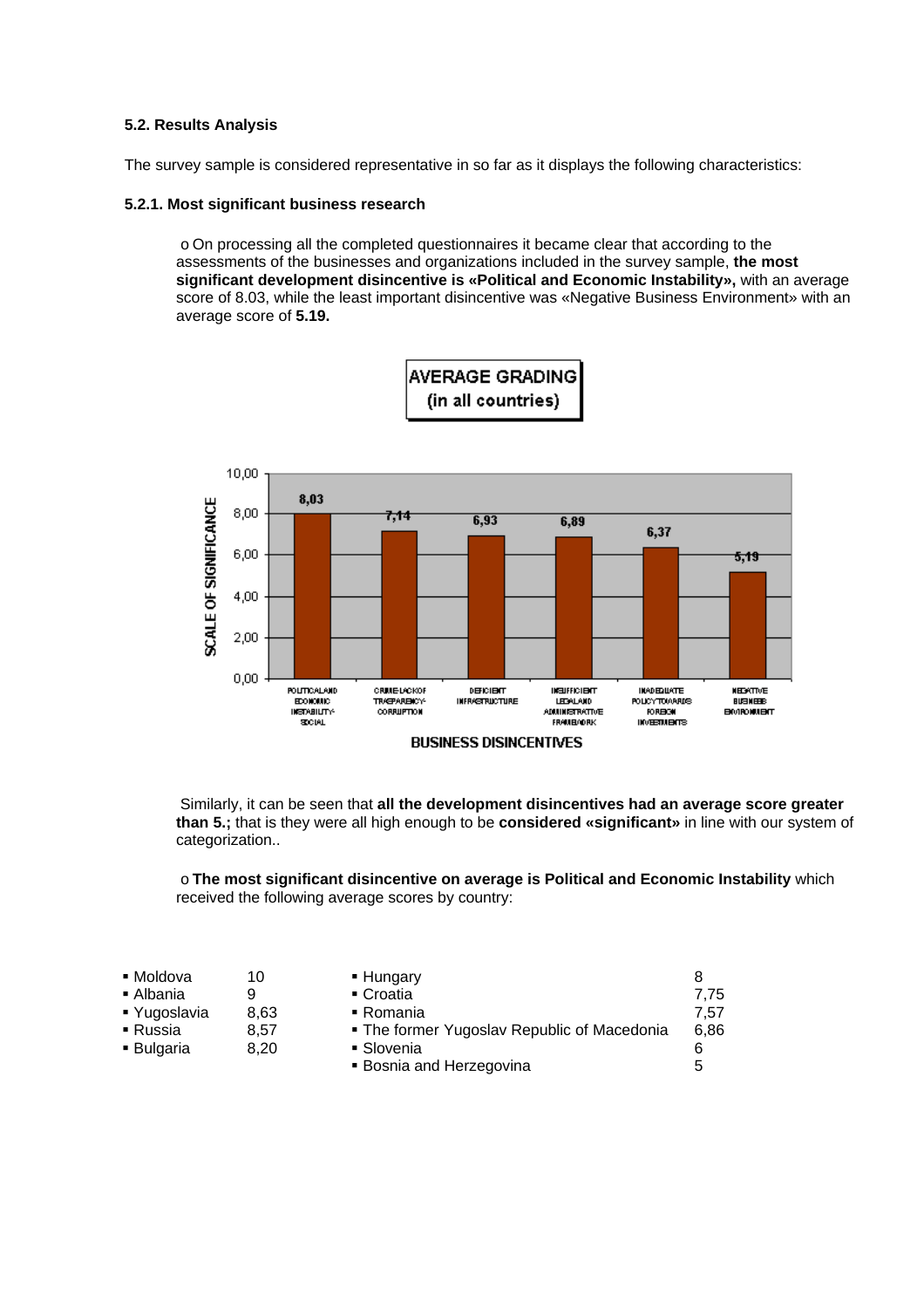#### **5.2. Results Analysis**

The survey sample is considered representative in so far as it displays the following characteristics:

#### **5.2.1. Most significant business research**

o On processing all the completed questionnaires it became clear that according to the assessments of the businesses and organizations included in the survey sample, **the most significant development disincentive is «Political and Economic Instability»,** with an average score of 8.03, while the least important disincentive was «Negative Business Environment» with an average score of **5.19.**



Similarly, it can be seen that **all the development disincentives had an average score greater than 5.;** that is they were all high enough to be **considered «significant»** in line with our system of categorization..

o **The most significant disincentive on average is Political and Economic Instability** which received the following average scores by country:

| ■ Moldova       | 10   | • Hungary                                   |      |
|-----------------|------|---------------------------------------------|------|
| ■ Albania       |      | • Croatia                                   | 7.75 |
| ■ Yugoslavia    | 8.63 | $\blacksquare$ Romania                      | 7.57 |
| ■ Russia        | 8.57 | • The former Yugoslav Republic of Macedonia | 6.86 |
| <b>Bulgaria</b> | 8.20 | • Slovenia                                  | 6    |
|                 |      | • Bosnia and Herzegovina                    | 5    |
|                 |      |                                             |      |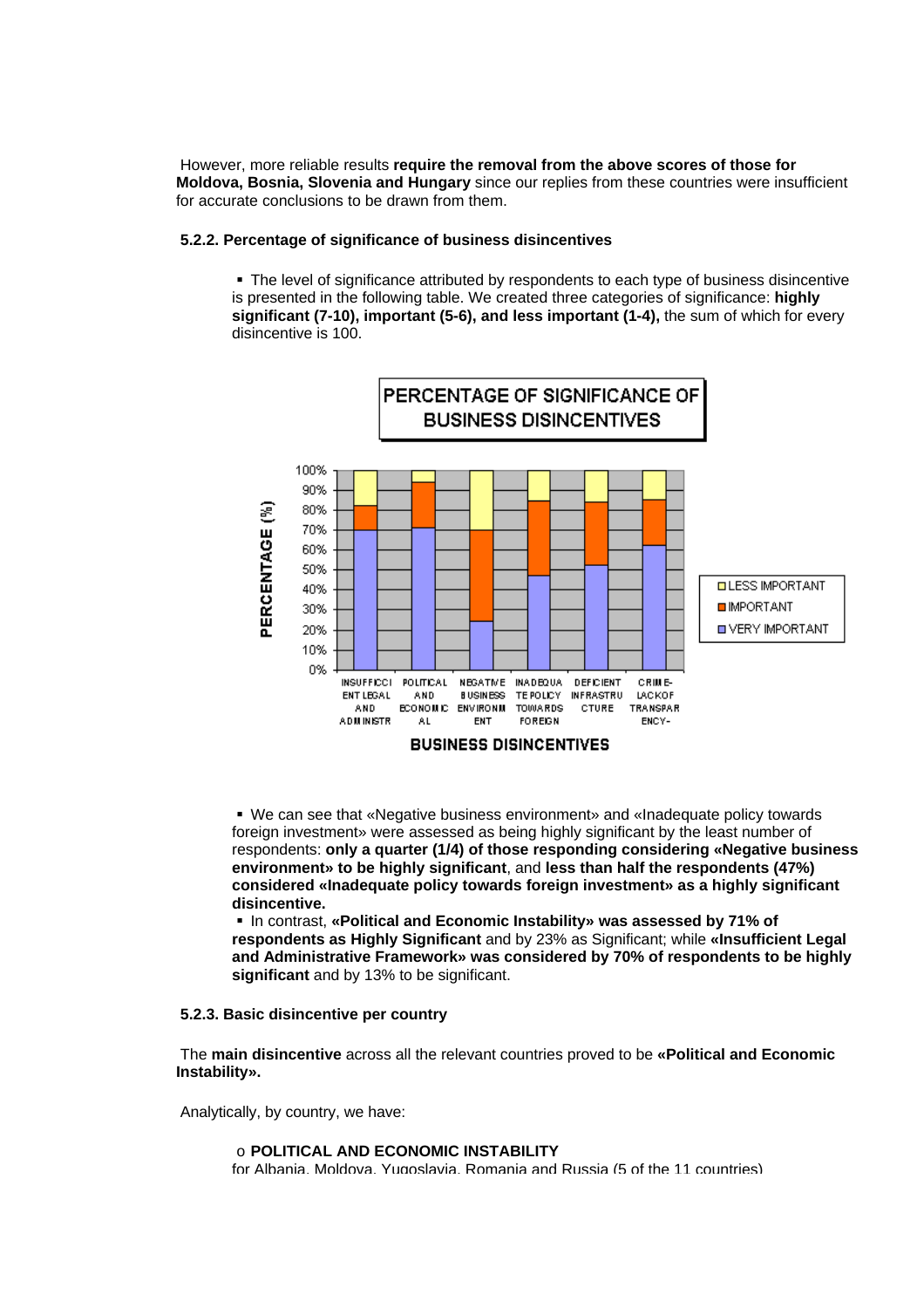However, more reliable results **require the removal from the above scores of those for Moldova, Bosnia, Slovenia and Hungary** since our replies from these countries were insufficient for accurate conclusions to be drawn from them.

#### **5.2.2. Percentage of significance of business disincentives**

• The level of significance attributed by respondents to each type of business disincentive is presented in the following table. We created three categories of significance: **highly significant (7-10), important (5-6), and less important (1-4),** the sum of which for every disincentive is 100.



ß We can see that «Negative business environment» and «Inadequate policy towards foreign investment» were assessed as being highly significant by the least number of respondents: **only a quarter (1/4) of those responding considering «Negative business environment» to be highly significant**, and **less than half the respondents (47%) considered «Inadequate policy towards foreign investment» as a highly significant disincentive.**

ß In contrast, **«Political and Economic Instability» was assessed by 71% of respondents as Highly Significant** and by 23% as Significant; while **«Insufficient Legal and Administrative Framework» was considered by 70% of respondents to be highly significant** and by 13% to be significant.

#### **5.2.3. Basic disincentive per country**

The **main disincentive** across all the relevant countries proved to be **«Political and Economic Instability».** 

Analytically, by country, we have:

o **POLITICAL AND ECONOMIC INSTABILITY**  for Albania, Moldova, Yugoslavia, Romania and Russia (5 of the 11 countries)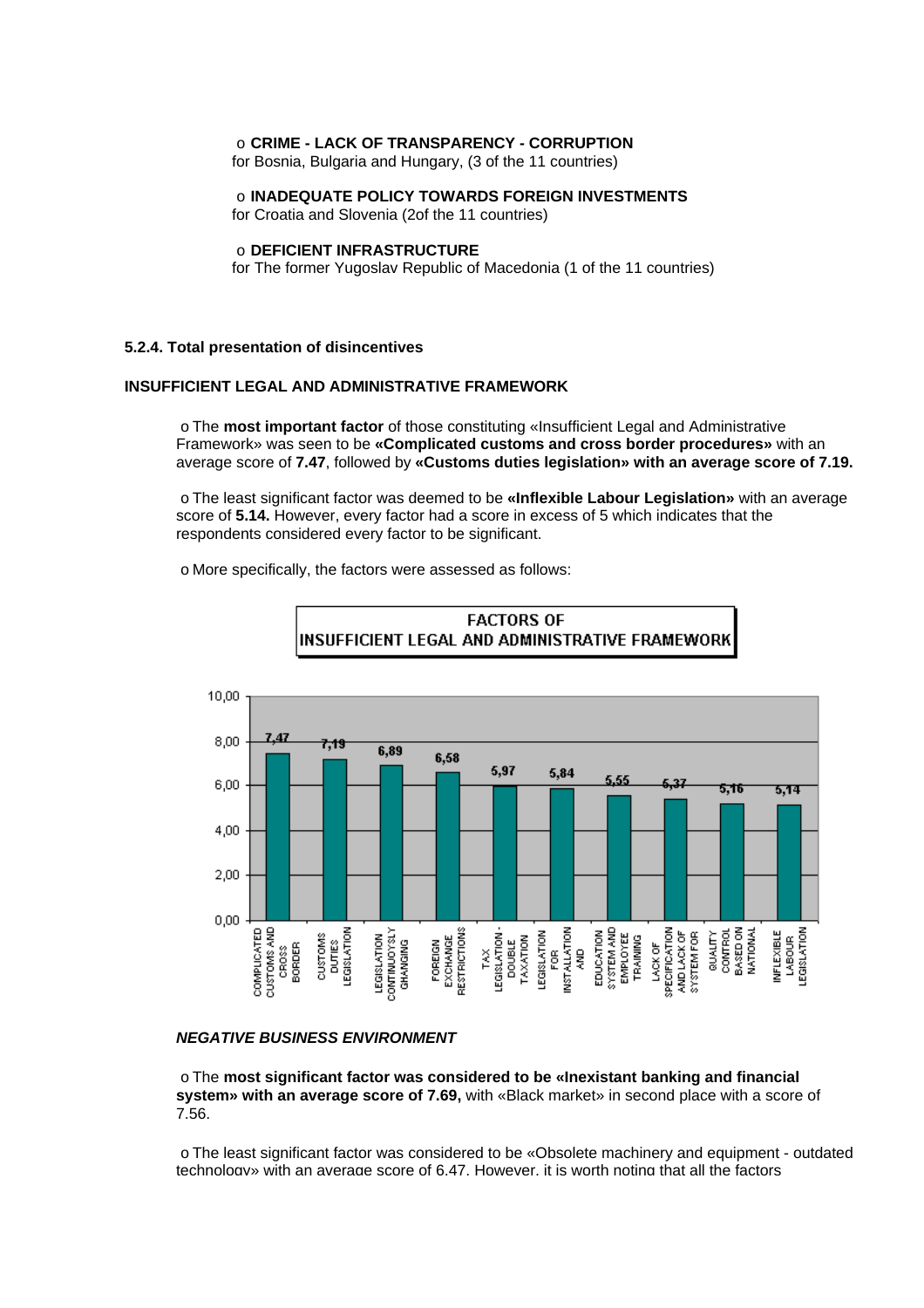#### o **CRIME - LACK OF TRANSPARENCY - CORRUPTION**

for Bosnia, Bulgaria and Hungary, (3 of the 11 countries)

o **INADEQUATE POLICY TOWARDS FOREIGN INVESTMENTS** 

for Croatia and Slovenia (2of the 11 countries)

#### o **DEFICIENT INFRASTRUCTURE**

for The former Yugoslav Republic of Macedonia (1 of the 11 countries)

#### **5.2.4. Total presentation of disincentives**

#### **INSUFFICIENT LEGAL AND ADMINISTRATIVE FRAMEWORK**

o The **most important factor** of those constituting «Insufficient Legal and Administrative Framework» was seen to be **«Complicated customs and cross border procedures»** with an average score of **7.47**, followed by **«Customs duties legislation» with an average score of 7.19.** 

o The least significant factor was deemed to be **«Inflexible Labour Legislation»** with an average score of **5.14.** However, every factor had a score in excess of 5 which indicates that the respondents considered every factor to be significant.

o More specifically, the factors were assessed as follows:





#### *NEGATIVE BUSINESS ENVIRONMENT*

o The **most significant factor was considered to be «Inexistant banking and financial system» with an average score of 7.69,** with «Black market» in second place with a score of 7.56.

o The least significant factor was considered to be «Obsolete machinery and equipment - outdated technology» with an average score of 6.47. However, it is worth noting that all the factors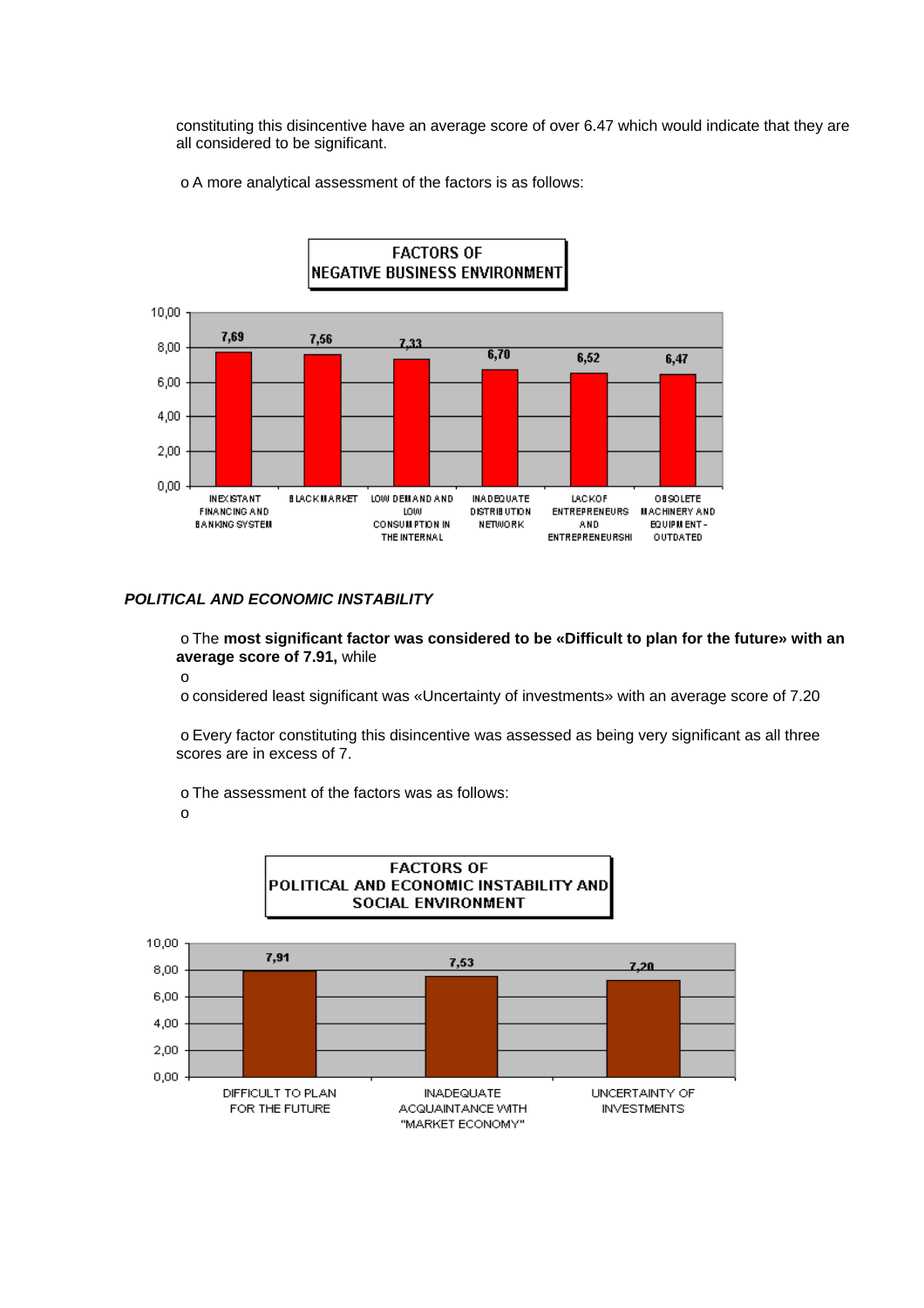constituting this disincentive have an average score of over 6.47 which would indicate that they are all considered to be significant.

o A more analytical assessment of the factors is as follows:



#### *POLITICAL AND ECONOMIC INSTABILITY*

o The **most significant factor was considered to be «Difficult to plan for the future» with an average score of 7.91,** while

o

o considered least significant was «Uncertainty of investments» with an average score of 7.20

o Every factor constituting this disincentive was assessed as being very significant as all three scores are in excess of 7.

o The assessment of the factors was as follows:

o

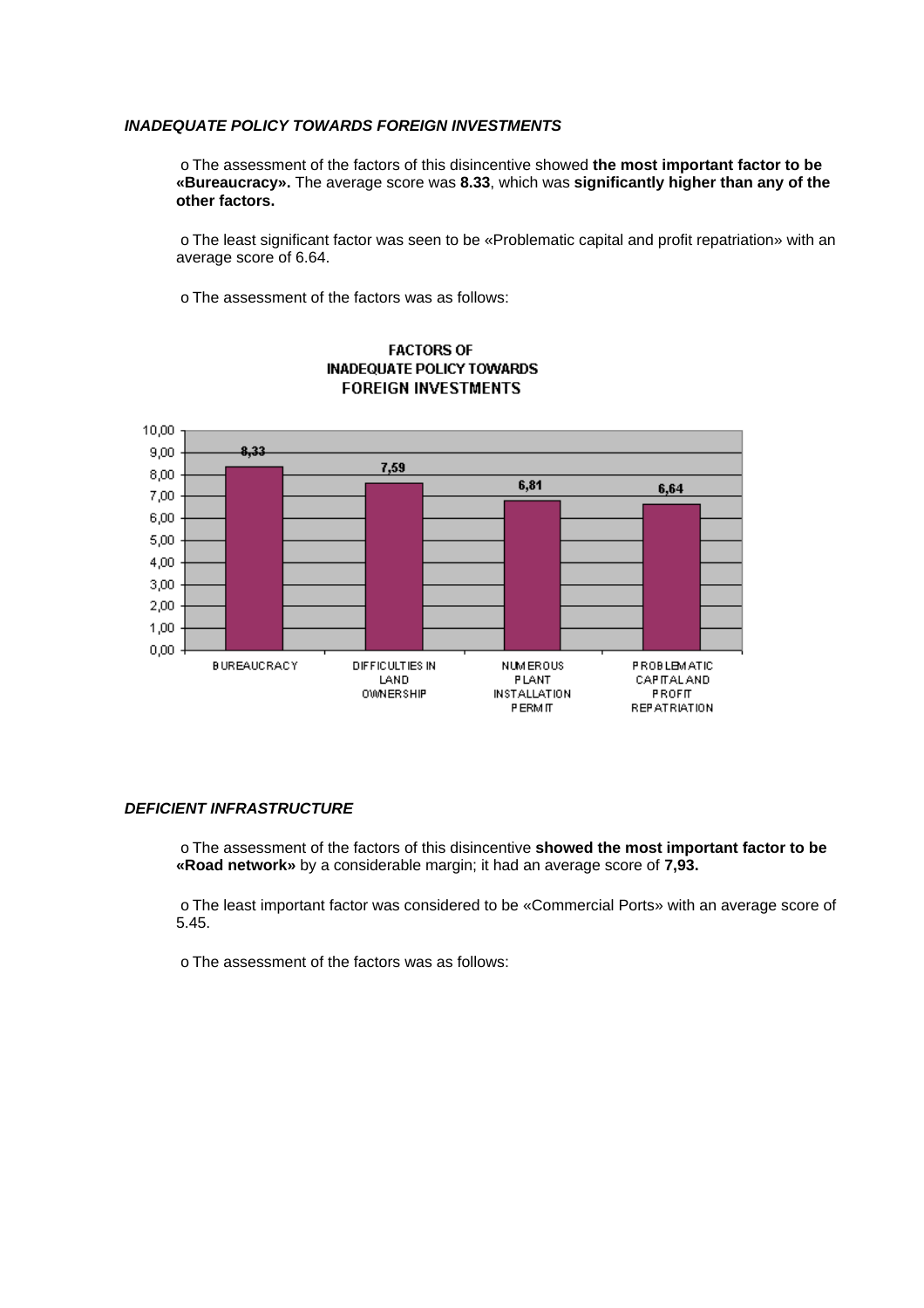#### *INADEQUATE POLICY TOWARDS FOREIGN INVESTMENTS*

o The assessment of the factors of this disincentive showed **the most important factor to be «Bureaucracy».** The average score was **8.33**, which was **significantly higher than any of the other factors.**

o The least significant factor was seen to be «Problematic capital and profit repatriation» with an average score of 6.64.

o The assessment of the factors was as follows:



### **FACTORS OF INADEQUATE POLICY TOWARDS FOREIGN INVESTMENTS**

### *DEFICIENT INFRASTRUCTURE*

o The assessment of the factors of this disincentive **showed the most important factor to be «Road network»** by a considerable margin; it had an average score of **7,93.**

o The least important factor was considered to be «Commercial Ports» with an average score of 5.45.

o The assessment of the factors was as follows: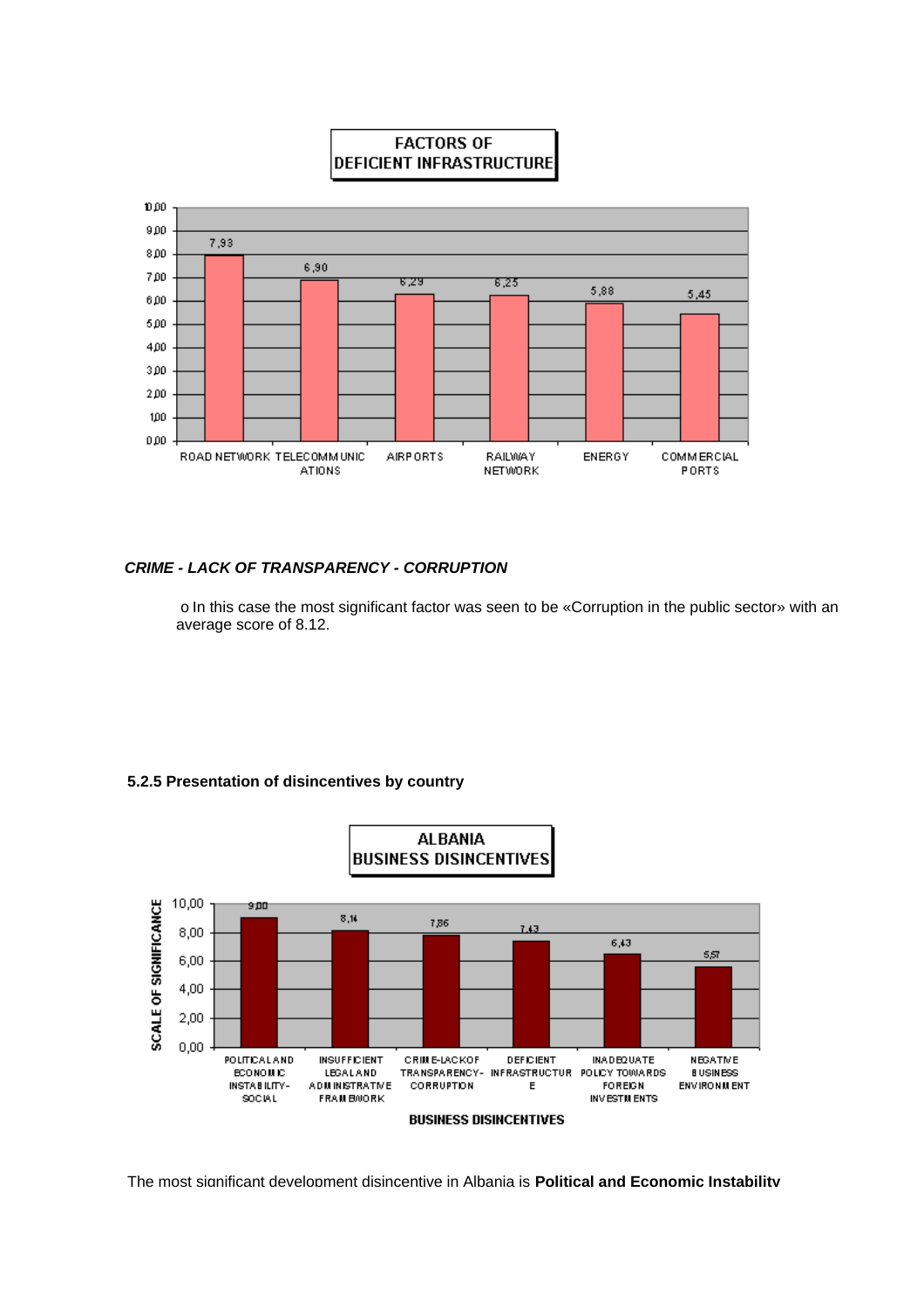

# **FACTORS OF DEFICIENT INFRASTRUCTURE**

## *CRIME - LACK OF TRANSPARENCY - CORRUPTION*

o In this case the most significant factor was seen to be «Corruption in the public sector» with an average score of 8.12.

## **5.2.5 Presentation of disincentives by country**



The most significant development disincentive in Albania is **Political and Economic Instability**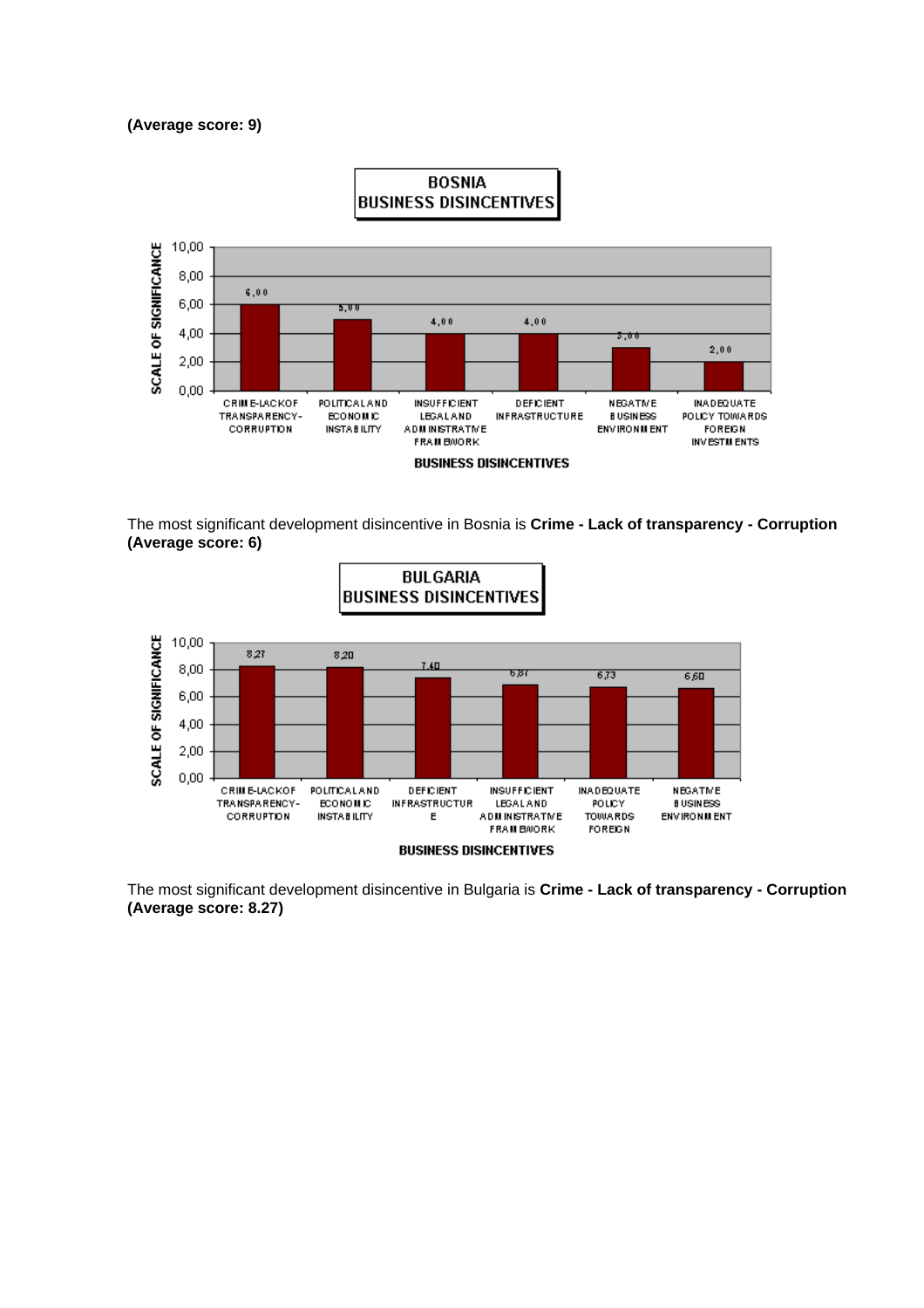#### **(Average score: 9)**



The most significant development disincentive in Bosnia is **Crime - Lack of transparency - Corruption (Average score: 6)** 



The most significant development disincentive in Bulgaria is **Crime - Lack of transparency - Corruption (Average score: 8.27)**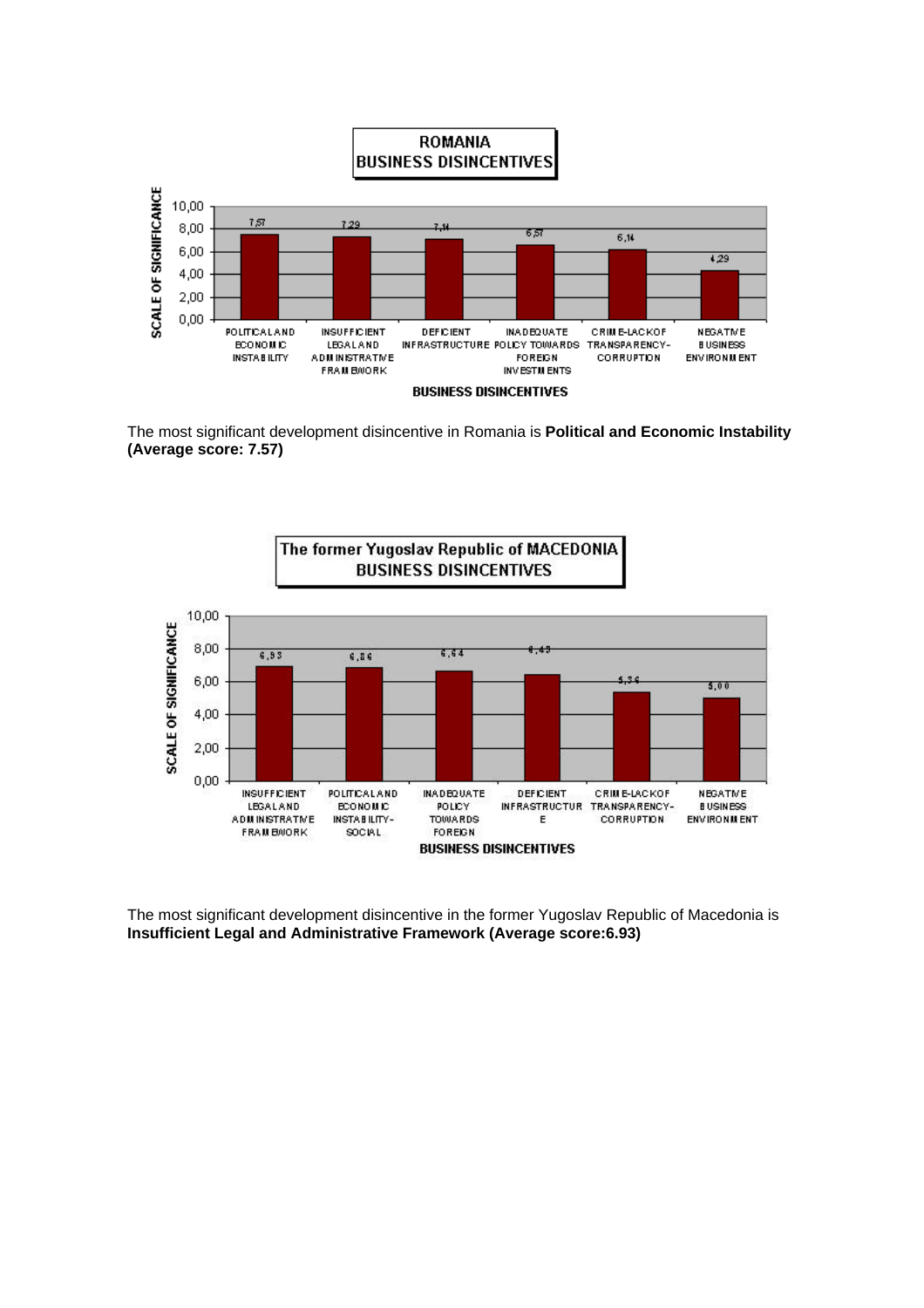

The most significant development disincentive in Romania is **Political and Economic Instability (Average score: 7.57)**



The most significant development disincentive in the former Yugoslav Republic of Macedonia is **Insufficient Legal and Administrative Framework (Average score:6.93)**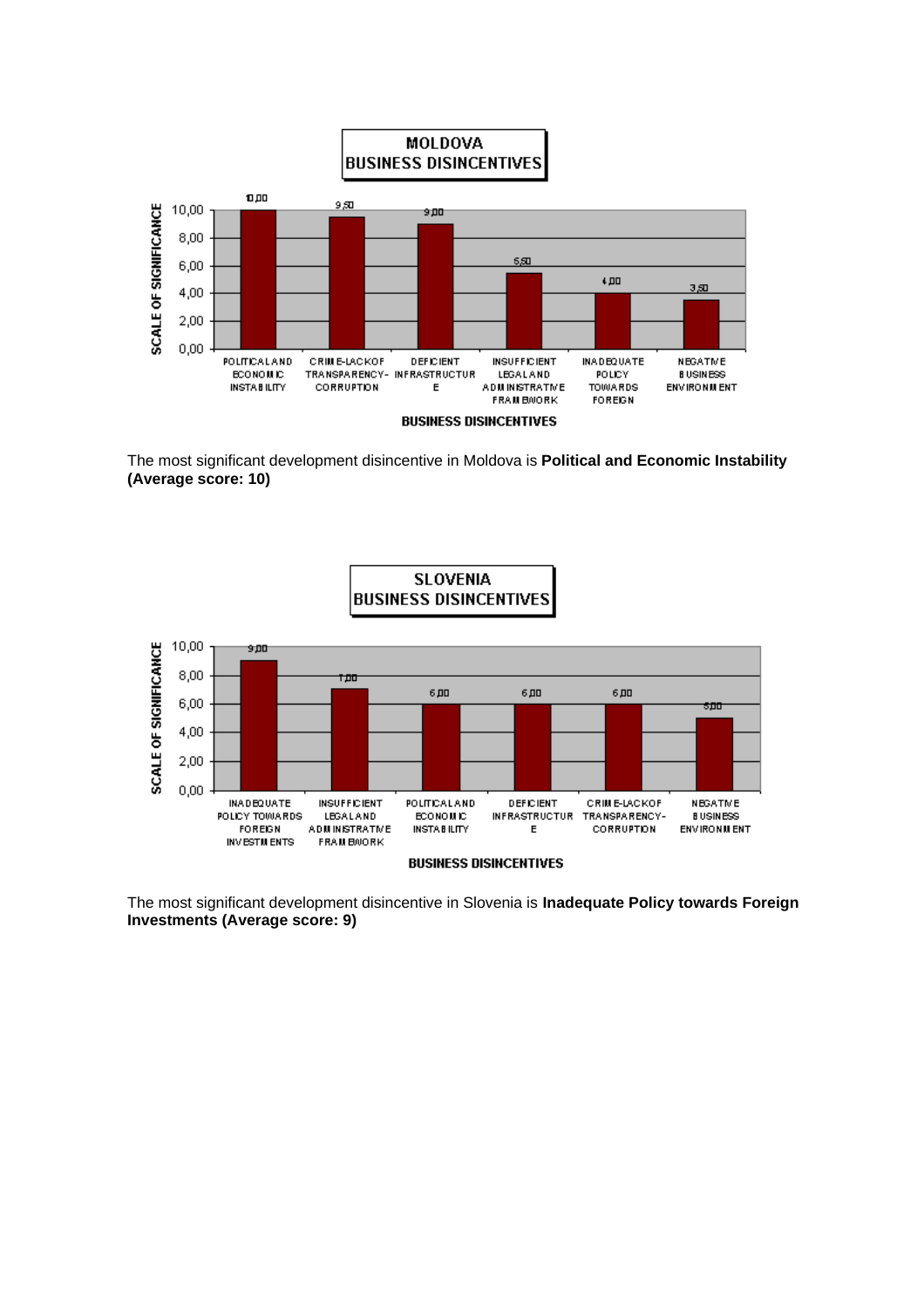

The most significant development disincentive in Moldova is **Political and Economic Instability (Average score: 10)**



The most significant development disincentive in Slovenia is **Inadequate Policy towards Foreign Investments (Average score: 9)**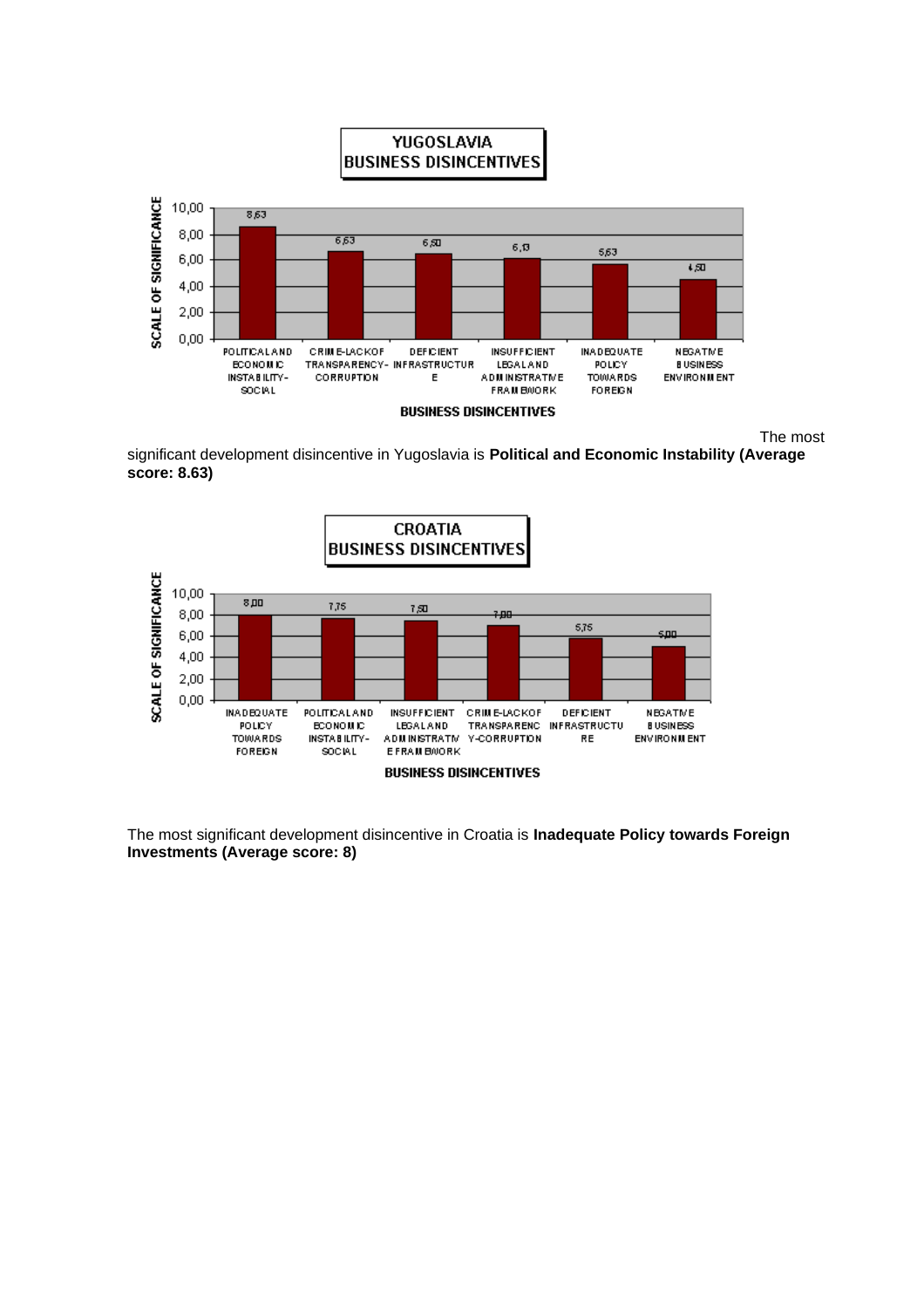

The most

significant development disincentive in Yugoslavia is **Political and Economic Instability (Average score: 8.63)**



The most significant development disincentive in Croatia is **Inadequate Policy towards Foreign Investments (Average score: 8)**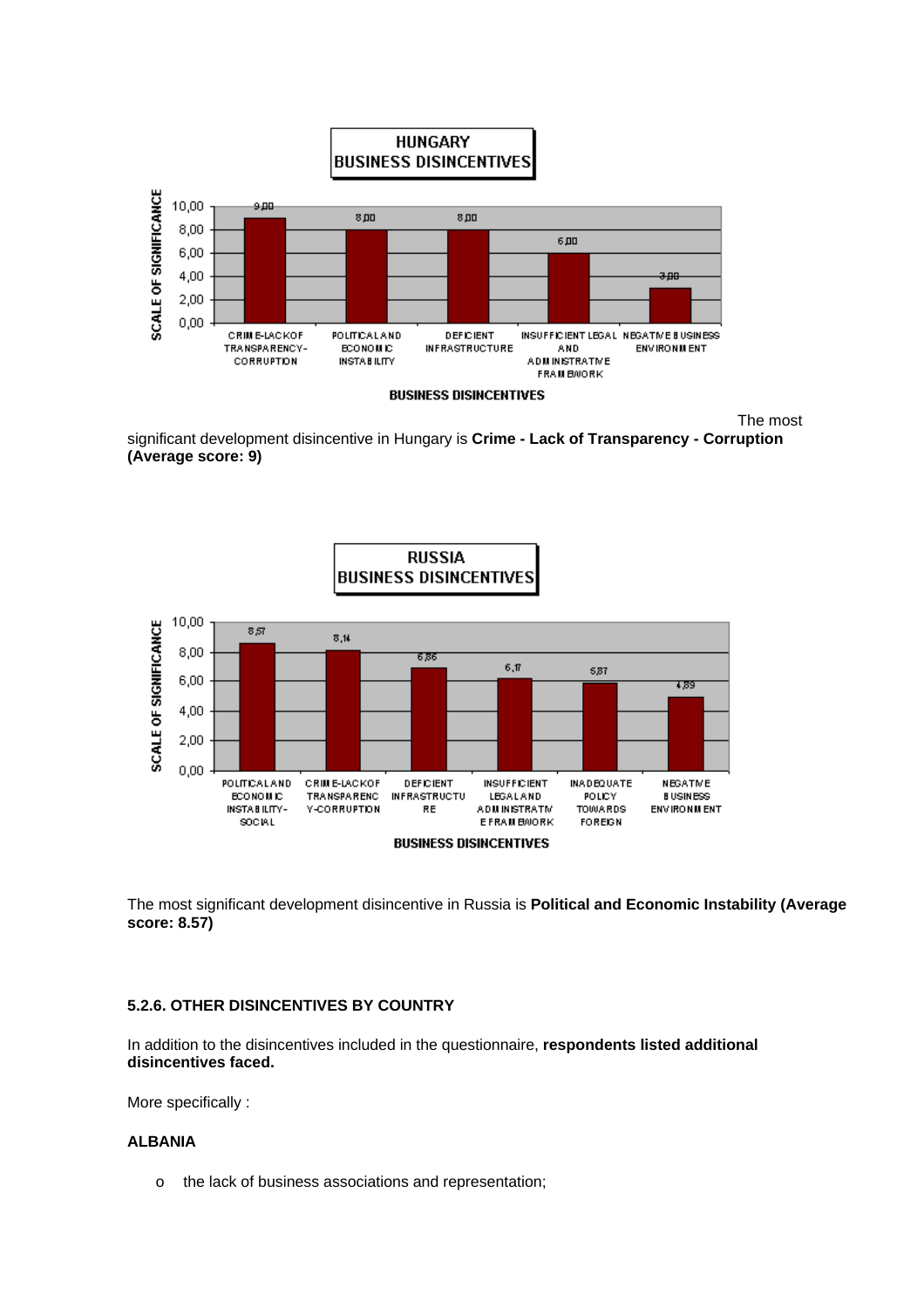

The most

significant development disincentive in Hungary is **Crime - Lack of Transparency - Corruption (Average score: 9)** 





The most significant development disincentive in Russia is **Political and Economic Instability (Average score: 8.57)** 

### **5.2.6. OTHER DISINCENTIVES BY COUNTRY**

In addition to the disincentives included in the questionnaire, **respondents listed additional disincentives faced.**

More specifically :

#### **ALBANIA**

o the lack of business associations and representation;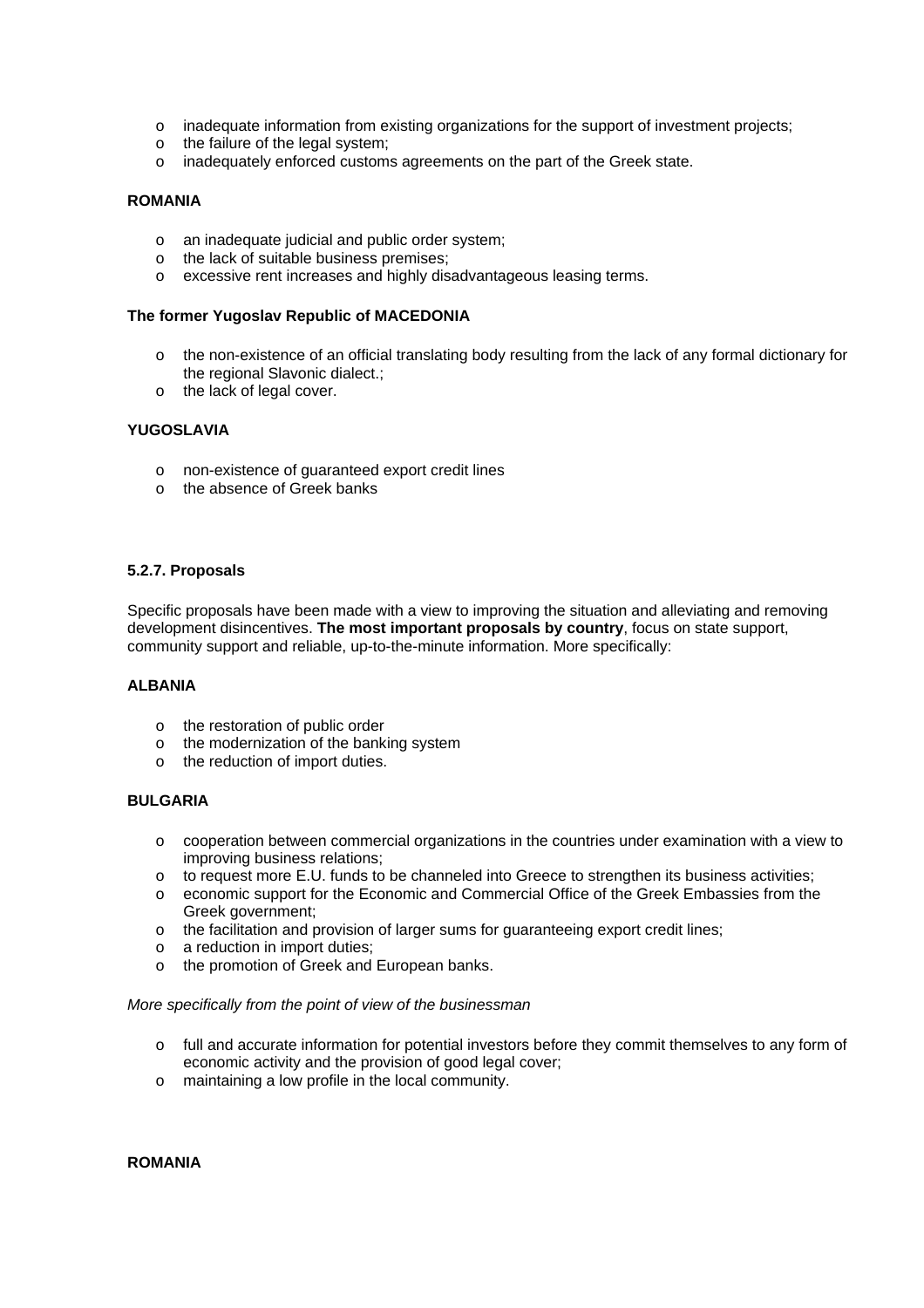- o inadequate information from existing organizations for the support of investment projects;
- o the failure of the legal system;
- o inadequately enforced customs agreements on the part of the Greek state.

#### **ROMANIA**

- o an inadequate judicial and public order system;
- o the lack of suitable business premises;
- o excessive rent increases and highly disadvantageous leasing terms.

#### **The former Yugoslav Republic of MACEDONIA**

- o the non-existence of an official translating body resulting from the lack of any formal dictionary for the regional Slavonic dialect.;
- o the lack of legal cover.

#### **YUGOSLAVIA**

- o non-existence of guaranteed export credit lines
- o the absence of Greek banks

#### **5.2.7. Proposals**

Specific proposals have been made with a view to improving the situation and alleviating and removing development disincentives. **The most important proposals by country**, focus on state support, community support and reliable, up-to-the-minute information. More specifically:

#### **ALBANIA**

- o the restoration of public order
- o the modernization of the banking system
- o the reduction of import duties.

#### **BULGARIA**

- o cooperation between commercial organizations in the countries under examination with a view to improving business relations;
- $\circ$  to request more E.U. funds to be channeled into Greece to strengthen its business activities;
- o economic support for the Economic and Commercial Office of the Greek Embassies from the Greek government;
- o the facilitation and provision of larger sums for guaranteeing export credit lines;
- o a reduction in import duties;
- o the promotion of Greek and European banks.

#### *More specifically from the point of view of the businessman*

- o full and accurate information for potential investors before they commit themselves to any form of economic activity and the provision of good legal cover;
- o maintaining a low profile in the local community.

**ROMANIA**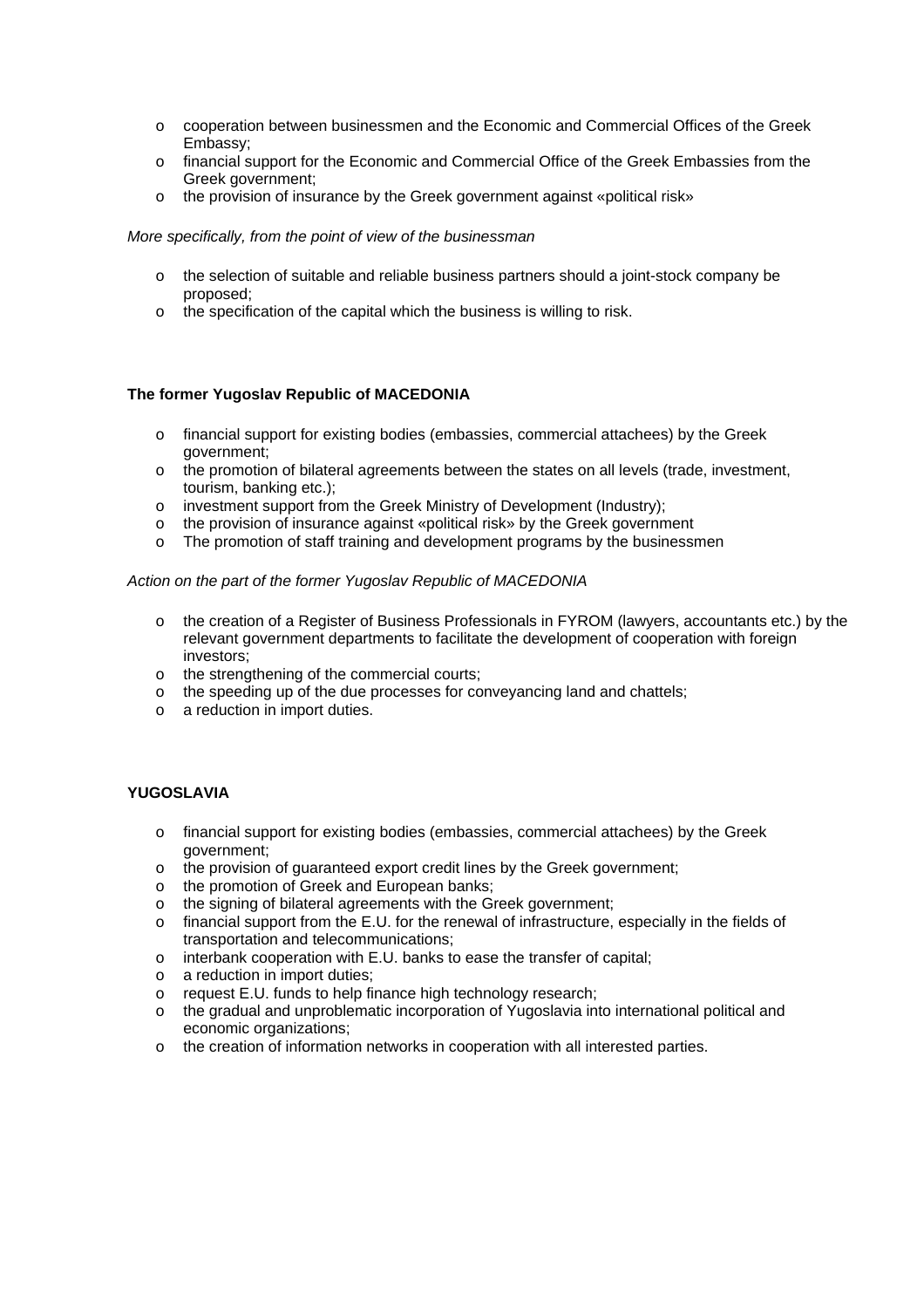- o cooperation between businessmen and the Economic and Commercial Offices of the Greek Embassy;
- o financial support for the Economic and Commercial Office of the Greek Embassies from the Greek government;
- o the provision of insurance by the Greek government against «political risk»

#### *More specifically, from the point of view of the businessman*

- o the selection of suitable and reliable business partners should a joint-stock company be proposed;
- o the specification of the capital which the business is willing to risk.

#### **The former Yugoslav Republic of MACEDONIA**

- o financial support for existing bodies (embassies, commercial attachees) by the Greek government;
- o the promotion of bilateral agreements between the states on all levels (trade, investment, tourism, banking etc.);
- o investment support from the Greek Ministry of Development (Industry);
- o the provision of insurance against «political risk» by the Greek government
- o The promotion of staff training and development programs by the businessmen

#### *Action on the part of the former Yugoslav Republic of MACEDONIA*

- o the creation of a Register of Business Professionals in FYROM (lawyers, accountants etc.) by the relevant government departments to facilitate the development of cooperation with foreign investors;
- o the strengthening of the commercial courts;
- o the speeding up of the due processes for conveyancing land and chattels;
- o a reduction in import duties.

#### **YUGOSLAVIA**

- o financial support for existing bodies (embassies, commercial attachees) by the Greek government;
- o the provision of guaranteed export credit lines by the Greek government;
- o the promotion of Greek and European banks;
- o the signing of bilateral agreements with the Greek government;
- o financial support from the E.U. for the renewal of infrastructure, especially in the fields of transportation and telecommunications;
- o interbank cooperation with E.U. banks to ease the transfer of capital;
- o a reduction in import duties;
- o request E.U. funds to help finance high technology research;
- o the gradual and unproblematic incorporation of Yugoslavia into international political and economic organizations;
- o the creation of information networks in cooperation with all interested parties.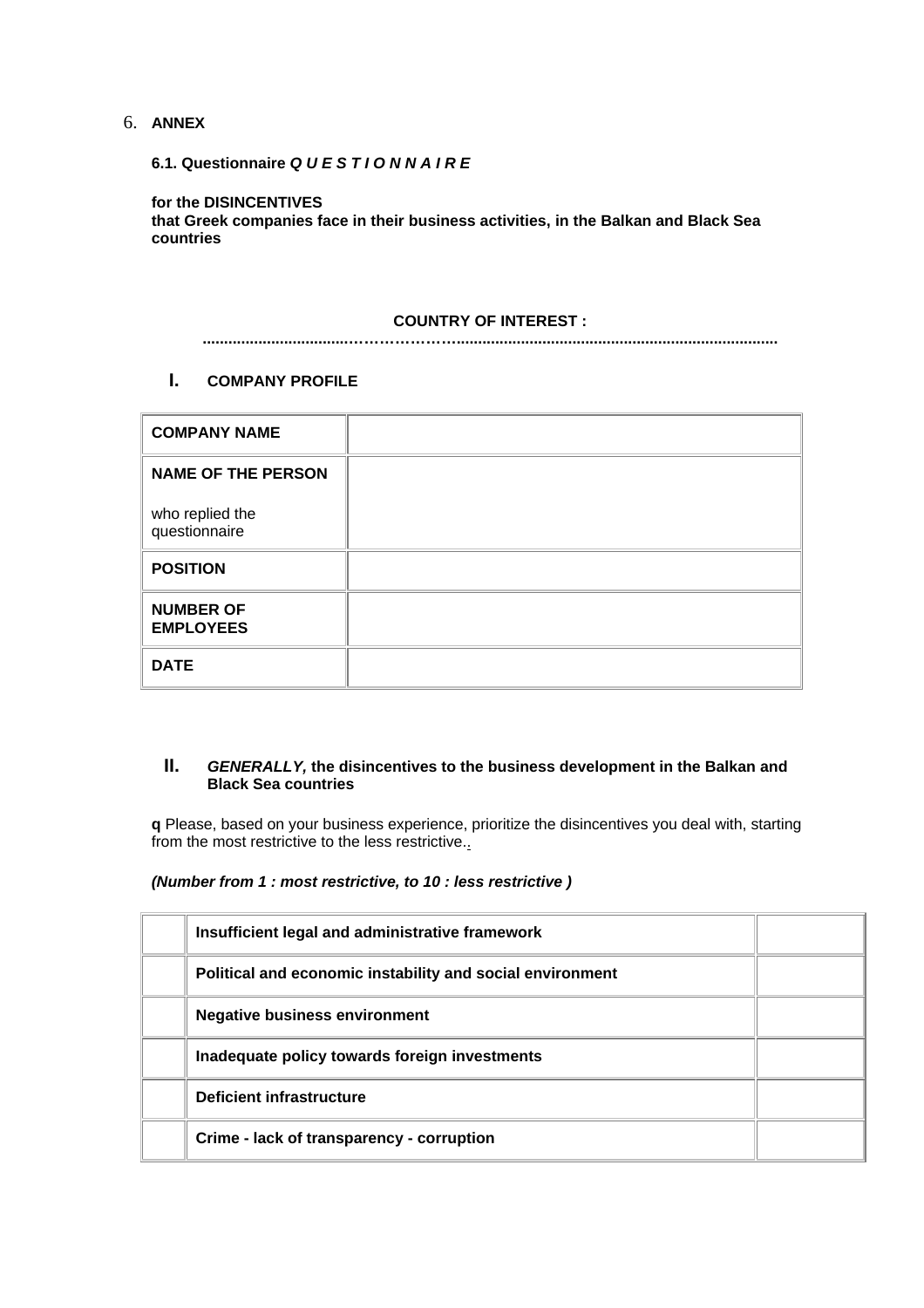### 6. **ANNEX**

**6.1. Questionnaire** *Q U E S T I O N N A I R E*

**for the DISINCENTIVES**

**that Greek companies face in their business activities, in the Balkan and Black Sea countries**

#### **COUNTRY OF INTEREST :**

**..................................…………………...........................................................................**

### **I. COMPANY PROFILE**

| <b>COMPANY NAME</b>                  |
|--------------------------------------|
| <b>NAME OF THE PERSON</b>            |
| who replied the<br>questionnaire     |
| <b>POSITION</b>                      |
| <b>NUMBER OF</b><br><b>EMPLOYEES</b> |
| <b>DATE</b>                          |

#### **II.** *GENERALLY,* **the disincentives to the business development in the Balkan and Black Sea countries**

**q** Please, based on your business experience, prioritize the disincentives you deal with, starting from the most restrictive to the less restrictive.

*(Number from 1 : most restrictive, to 10 : less restrictive )*

| Insufficient legal and administrative framework           |  |
|-----------------------------------------------------------|--|
| Political and economic instability and social environment |  |
| <b>Negative business environment</b>                      |  |
| Inadequate policy towards foreign investments             |  |
| Deficient infrastructure                                  |  |
| Crime - lack of transparency - corruption                 |  |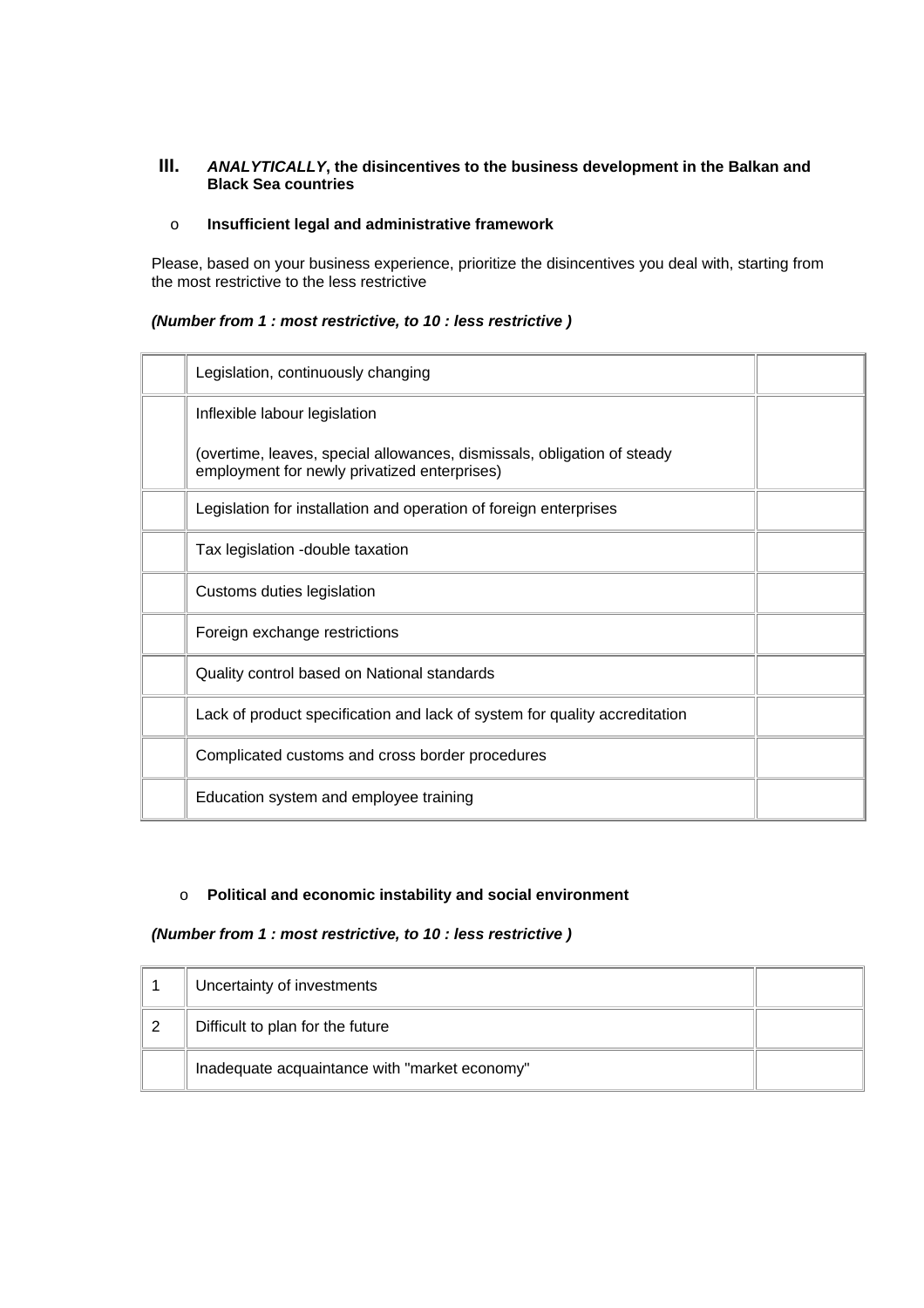### **III.** *ANALYTICALLY***, the disincentives to the business development in the Balkan and Black Sea countries**

### o **Insufficient legal and administrative framework**

Please, based on your business experience, prioritize the disincentives you deal with, starting from the most restrictive to the less restrictive

#### *(Number from 1 : most restrictive, to 10 : less restrictive )*

| Legislation, continuously changing                                                                                      |  |
|-------------------------------------------------------------------------------------------------------------------------|--|
| Inflexible labour legislation                                                                                           |  |
| (overtime, leaves, special allowances, dismissals, obligation of steady<br>employment for newly privatized enterprises) |  |
| Legislation for installation and operation of foreign enterprises                                                       |  |
| Tax legislation - double taxation                                                                                       |  |
| Customs duties legislation                                                                                              |  |
| Foreign exchange restrictions                                                                                           |  |
| Quality control based on National standards                                                                             |  |
| Lack of product specification and lack of system for quality accreditation                                              |  |
| Complicated customs and cross border procedures                                                                         |  |
| Education system and employee training                                                                                  |  |

# o **Political and economic instability and social environment**

### *(Number from 1 : most restrictive, to 10 : less restrictive )*

|   | Uncertainty of investments                    |  |
|---|-----------------------------------------------|--|
| 2 | Difficult to plan for the future              |  |
|   | Inadequate acquaintance with "market economy" |  |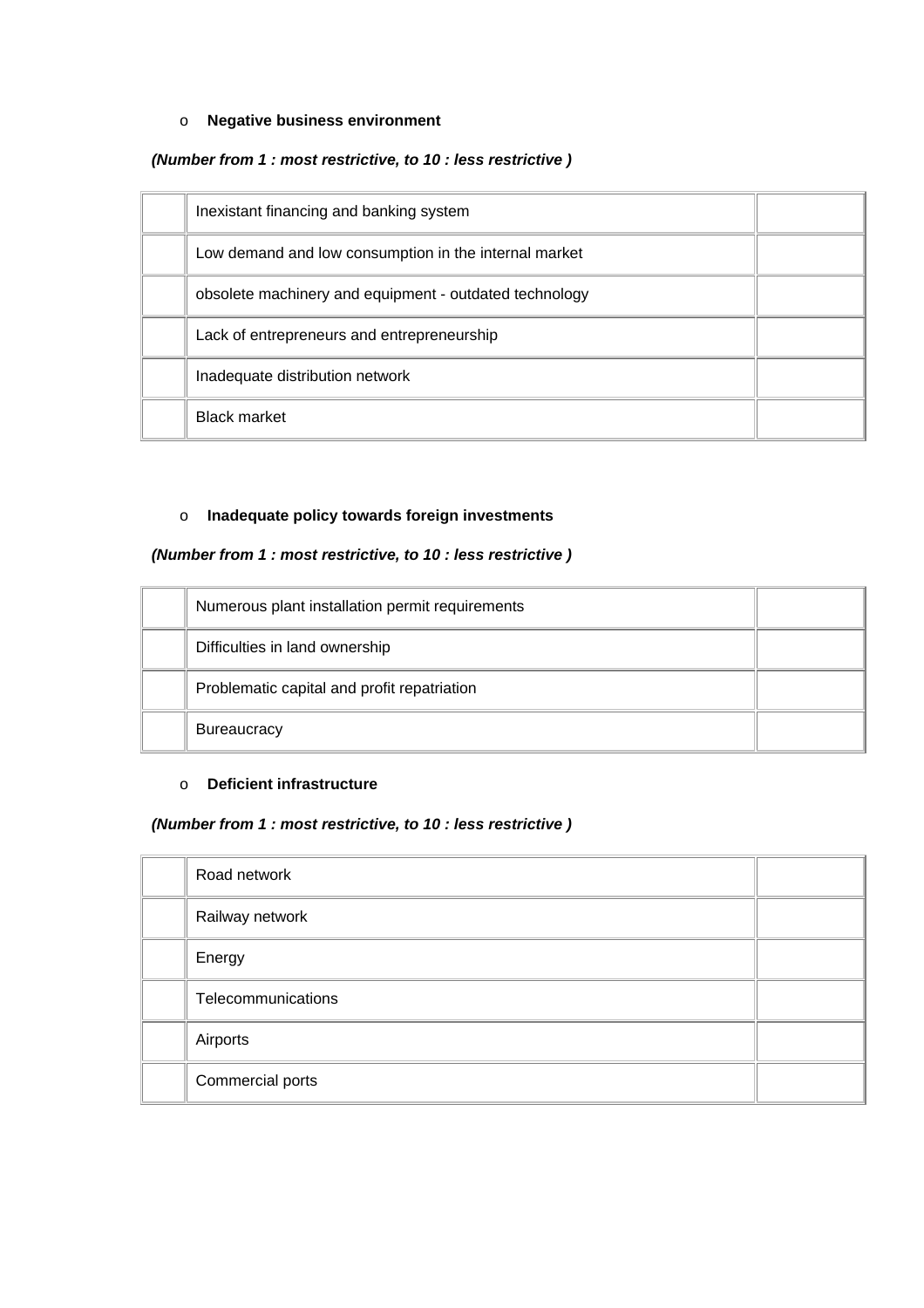#### o **Negative business environment**

#### *(Number from 1 : most restrictive, to 10 : less restrictive )*

| Inexistant financing and banking system                |  |
|--------------------------------------------------------|--|
| Low demand and low consumption in the internal market  |  |
| obsolete machinery and equipment - outdated technology |  |
| Lack of entrepreneurs and entrepreneurship             |  |
| Inadequate distribution network                        |  |
| <b>Black market</b>                                    |  |

## o **Inadequate policy towards foreign investments**

## *(Number from 1 : most restrictive, to 10 : less restrictive )*

| Numerous plant installation permit requirements |  |
|-------------------------------------------------|--|
| Difficulties in land ownership                  |  |
| Problematic capital and profit repatriation     |  |
| <b>Bureaucracy</b>                              |  |

## o **Deficient infrastructure**

#### *(Number from 1 : most restrictive, to 10 : less restrictive )*

| Road network       |  |
|--------------------|--|
| Railway network    |  |
| Energy             |  |
| Telecommunications |  |
| Airports           |  |
| Commercial ports   |  |